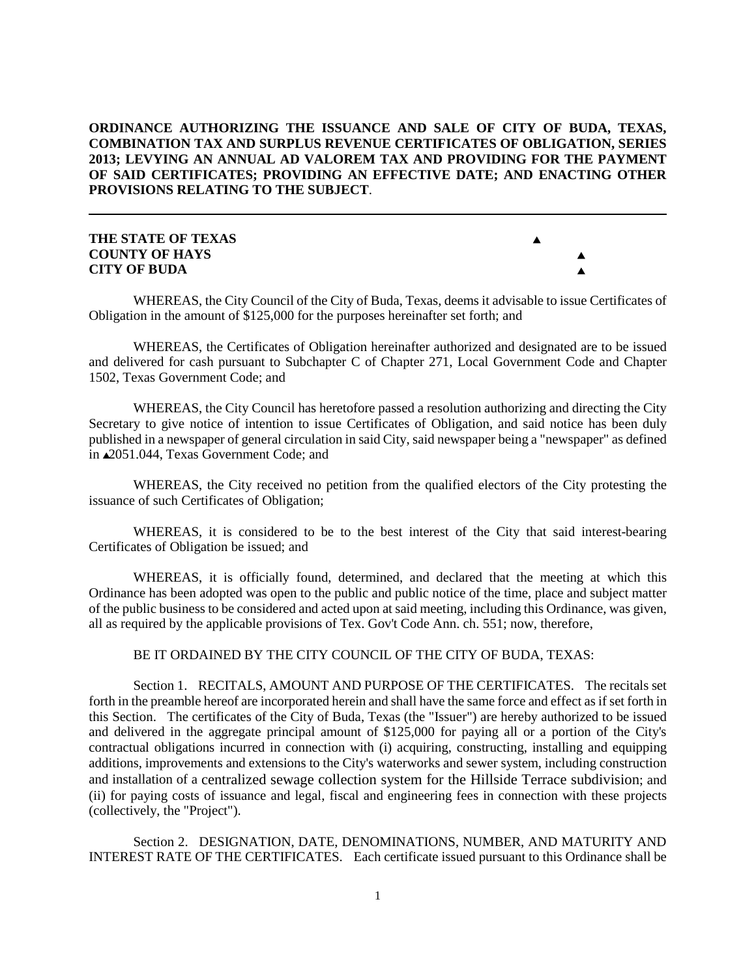# **ORDINANCE AUTHORIZING THE ISSUANCE AND SALE OF CITY OF BUDA, TEXAS, COMBINATION TAX AND SURPLUS REVENUE CERTIFICATES OF OBLIGATION, SERIES 2013; LEVYING AN ANNUAL AD VALOREM TAX AND PROVIDING FOR THE PAYMENT OF SAID CERTIFICATES; PROVIDING AN EFFECTIVE DATE; AND ENACTING OTHER PROVISIONS RELATING TO THE SUBJECT**.

# **THE STATE OF TEXAS** ' **COUNTY OF HAYS** ' **CITY OF BUDA** '



WHEREAS, the City Council of the City of Buda, Texas, deems it advisable to issue Certificates of Obligation in the amount of \$125,000 for the purposes hereinafter set forth; and

WHEREAS, the Certificates of Obligation hereinafter authorized and designated are to be issued and delivered for cash pursuant to Subchapter C of Chapter 271, Local Government Code and Chapter 1502, Texas Government Code; and

WHEREAS, the City Council has heretofore passed a resolution authorizing and directing the City Secretary to give notice of intention to issue Certificates of Obligation, and said notice has been duly published in a newspaper of general circulation in said City, said newspaper being a "newspaper" as defined in  $\triangle$ 2051.044, Texas Government Code; and

WHEREAS, the City received no petition from the qualified electors of the City protesting the issuance of such Certificates of Obligation;

WHEREAS, it is considered to be to the best interest of the City that said interest-bearing Certificates of Obligation be issued; and

WHEREAS, it is officially found, determined, and declared that the meeting at which this Ordinance has been adopted was open to the public and public notice of the time, place and subject matter of the public business to be considered and acted upon at said meeting, including this Ordinance, was given, all as required by the applicable provisions of Tex. Gov't Code Ann. ch. 551; now, therefore,

BE IT ORDAINED BY THE CITY COUNCIL OF THE CITY OF BUDA, TEXAS:

Section 1. RECITALS, AMOUNT AND PURPOSE OF THE CERTIFICATES. The recitals set forth in the preamble hereof are incorporated herein and shall have the same force and effect as if set forth in this Section. The certificates of the City of Buda, Texas (the "Issuer") are hereby authorized to be issued and delivered in the aggregate principal amount of \$125,000 for paying all or a portion of the City's contractual obligations incurred in connection with (i) acquiring, constructing, installing and equipping additions, improvements and extensions to the City's waterworks and sewer system, including construction and installation of a centralized sewage collection system for the Hillside Terrace subdivision; and (ii) for paying costs of issuance and legal, fiscal and engineering fees in connection with these projects (collectively, the "Project").

Section 2. DESIGNATION, DATE, DENOMINATIONS, NUMBER, AND MATURITY AND INTEREST RATE OF THE CERTIFICATES. Each certificate issued pursuant to this Ordinance shall be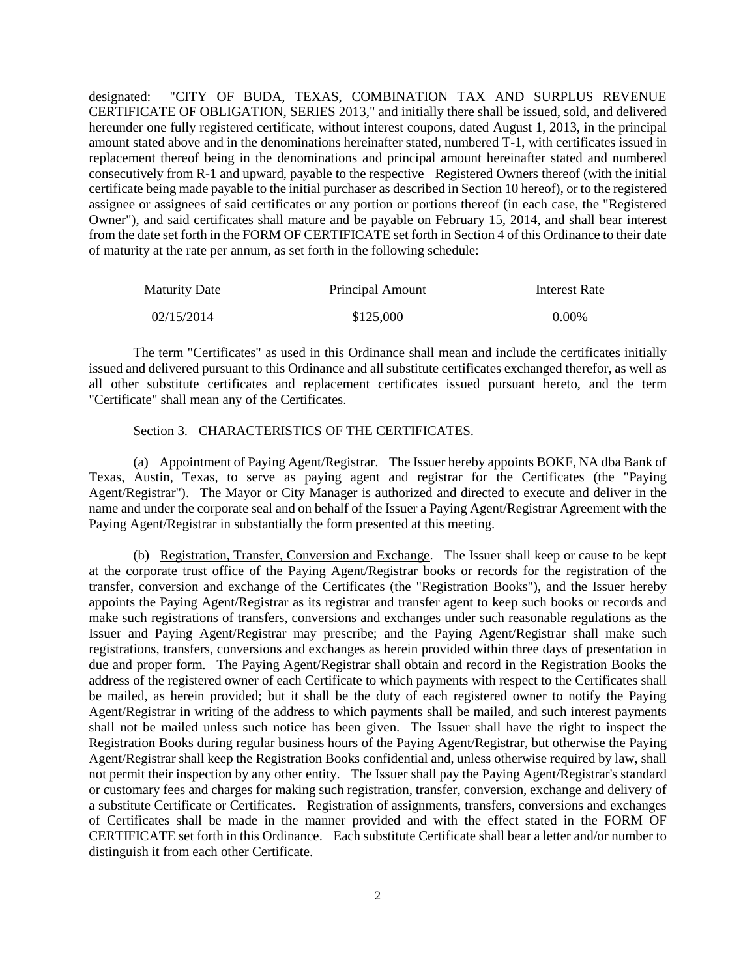designated: "CITY OF BUDA, TEXAS, COMBINATION TAX AND SURPLUS REVENUE CERTIFICATE OF OBLIGATION, SERIES 2013," and initially there shall be issued, sold, and delivered hereunder one fully registered certificate, without interest coupons, dated August 1, 2013, in the principal amount stated above and in the denominations hereinafter stated, numbered T-1, with certificates issued in replacement thereof being in the denominations and principal amount hereinafter stated and numbered consecutively from R-1 and upward, payable to the respective Registered Owners thereof (with the initial certificate being made payable to the initial purchaser as described in Section 10 hereof), or to the registered assignee or assignees of said certificates or any portion or portions thereof (in each case, the "Registered Owner"), and said certificates shall mature and be payable on February 15, 2014, and shall bear interest from the date set forth in the FORM OF CERTIFICATE set forth in Section 4 of this Ordinance to their date of maturity at the rate per annum, as set forth in the following schedule:

| <b>Maturity Date</b> | Principal Amount | Interest Rate |
|----------------------|------------------|---------------|
| 02/15/2014           | \$125,000        | $0.00\%$      |

The term "Certificates" as used in this Ordinance shall mean and include the certificates initially issued and delivered pursuant to this Ordinance and all substitute certificates exchanged therefor, as well as all other substitute certificates and replacement certificates issued pursuant hereto, and the term "Certificate" shall mean any of the Certificates.

#### Section 3. CHARACTERISTICS OF THE CERTIFICATES.

(a) Appointment of Paying Agent/Registrar. The Issuer hereby appoints BOKF, NA dba Bank of Texas, Austin, Texas, to serve as paying agent and registrar for the Certificates (the "Paying Agent/Registrar"). The Mayor or City Manager is authorized and directed to execute and deliver in the name and under the corporate seal and on behalf of the Issuer a Paying Agent/Registrar Agreement with the Paying Agent/Registrar in substantially the form presented at this meeting.

(b) Registration, Transfer, Conversion and Exchange. The Issuer shall keep or cause to be kept at the corporate trust office of the Paying Agent/Registrar books or records for the registration of the transfer, conversion and exchange of the Certificates (the "Registration Books"), and the Issuer hereby appoints the Paying Agent/Registrar as its registrar and transfer agent to keep such books or records and make such registrations of transfers, conversions and exchanges under such reasonable regulations as the Issuer and Paying Agent/Registrar may prescribe; and the Paying Agent/Registrar shall make such registrations, transfers, conversions and exchanges as herein provided within three days of presentation in due and proper form. The Paying Agent/Registrar shall obtain and record in the Registration Books the address of the registered owner of each Certificate to which payments with respect to the Certificates shall be mailed, as herein provided; but it shall be the duty of each registered owner to notify the Paying Agent/Registrar in writing of the address to which payments shall be mailed, and such interest payments shall not be mailed unless such notice has been given. The Issuer shall have the right to inspect the Registration Books during regular business hours of the Paying Agent/Registrar, but otherwise the Paying Agent/Registrar shall keep the Registration Books confidential and, unless otherwise required by law, shall not permit their inspection by any other entity. The Issuer shall pay the Paying Agent/Registrar's standard or customary fees and charges for making such registration, transfer, conversion, exchange and delivery of a substitute Certificate or Certificates. Registration of assignments, transfers, conversions and exchanges of Certificates shall be made in the manner provided and with the effect stated in the FORM OF CERTIFICATE set forth in this Ordinance. Each substitute Certificate shall bear a letter and/or number to distinguish it from each other Certificate.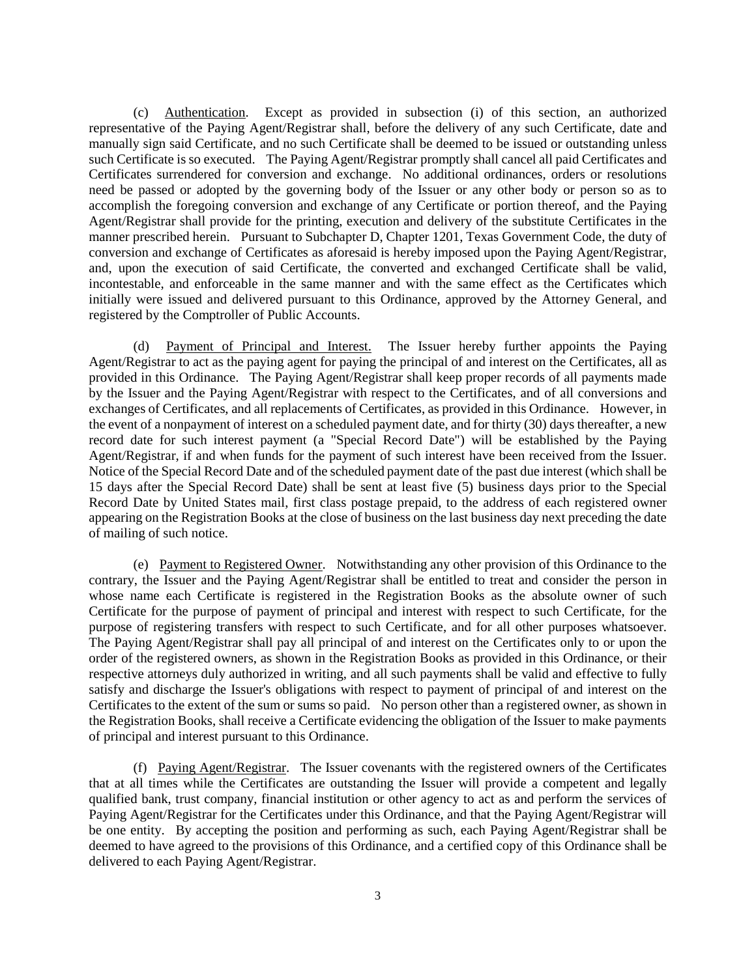(c) Authentication. Except as provided in subsection (i) of this section, an authorized representative of the Paying Agent/Registrar shall, before the delivery of any such Certificate, date and manually sign said Certificate, and no such Certificate shall be deemed to be issued or outstanding unless such Certificate is so executed. The Paying Agent/Registrar promptly shall cancel all paid Certificates and Certificates surrendered for conversion and exchange. No additional ordinances, orders or resolutions need be passed or adopted by the governing body of the Issuer or any other body or person so as to accomplish the foregoing conversion and exchange of any Certificate or portion thereof, and the Paying Agent/Registrar shall provide for the printing, execution and delivery of the substitute Certificates in the manner prescribed herein. Pursuant to Subchapter D, Chapter 1201, Texas Government Code, the duty of conversion and exchange of Certificates as aforesaid is hereby imposed upon the Paying Agent/Registrar, and, upon the execution of said Certificate, the converted and exchanged Certificate shall be valid, incontestable, and enforceable in the same manner and with the same effect as the Certificates which initially were issued and delivered pursuant to this Ordinance, approved by the Attorney General, and registered by the Comptroller of Public Accounts.

(d) Payment of Principal and Interest. The Issuer hereby further appoints the Paying Agent/Registrar to act as the paying agent for paying the principal of and interest on the Certificates, all as provided in this Ordinance. The Paying Agent/Registrar shall keep proper records of all payments made by the Issuer and the Paying Agent/Registrar with respect to the Certificates, and of all conversions and exchanges of Certificates, and all replacements of Certificates, as provided in this Ordinance. However, in the event of a nonpayment of interest on a scheduled payment date, and for thirty (30) days thereafter, a new record date for such interest payment (a "Special Record Date") will be established by the Paying Agent/Registrar, if and when funds for the payment of such interest have been received from the Issuer. Notice of the Special Record Date and of the scheduled payment date of the past due interest (which shall be 15 days after the Special Record Date) shall be sent at least five (5) business days prior to the Special Record Date by United States mail, first class postage prepaid, to the address of each registered owner appearing on the Registration Books at the close of business on the last business day next preceding the date of mailing of such notice.

(e) Payment to Registered Owner. Notwithstanding any other provision of this Ordinance to the contrary, the Issuer and the Paying Agent/Registrar shall be entitled to treat and consider the person in whose name each Certificate is registered in the Registration Books as the absolute owner of such Certificate for the purpose of payment of principal and interest with respect to such Certificate, for the purpose of registering transfers with respect to such Certificate, and for all other purposes whatsoever. The Paying Agent/Registrar shall pay all principal of and interest on the Certificates only to or upon the order of the registered owners, as shown in the Registration Books as provided in this Ordinance, or their respective attorneys duly authorized in writing, and all such payments shall be valid and effective to fully satisfy and discharge the Issuer's obligations with respect to payment of principal of and interest on the Certificates to the extent of the sum or sums so paid. No person other than a registered owner, as shown in the Registration Books, shall receive a Certificate evidencing the obligation of the Issuer to make payments of principal and interest pursuant to this Ordinance.

(f) Paying Agent/Registrar. The Issuer covenants with the registered owners of the Certificates that at all times while the Certificates are outstanding the Issuer will provide a competent and legally qualified bank, trust company, financial institution or other agency to act as and perform the services of Paying Agent/Registrar for the Certificates under this Ordinance, and that the Paying Agent/Registrar will be one entity. By accepting the position and performing as such, each Paying Agent/Registrar shall be deemed to have agreed to the provisions of this Ordinance, and a certified copy of this Ordinance shall be delivered to each Paying Agent/Registrar.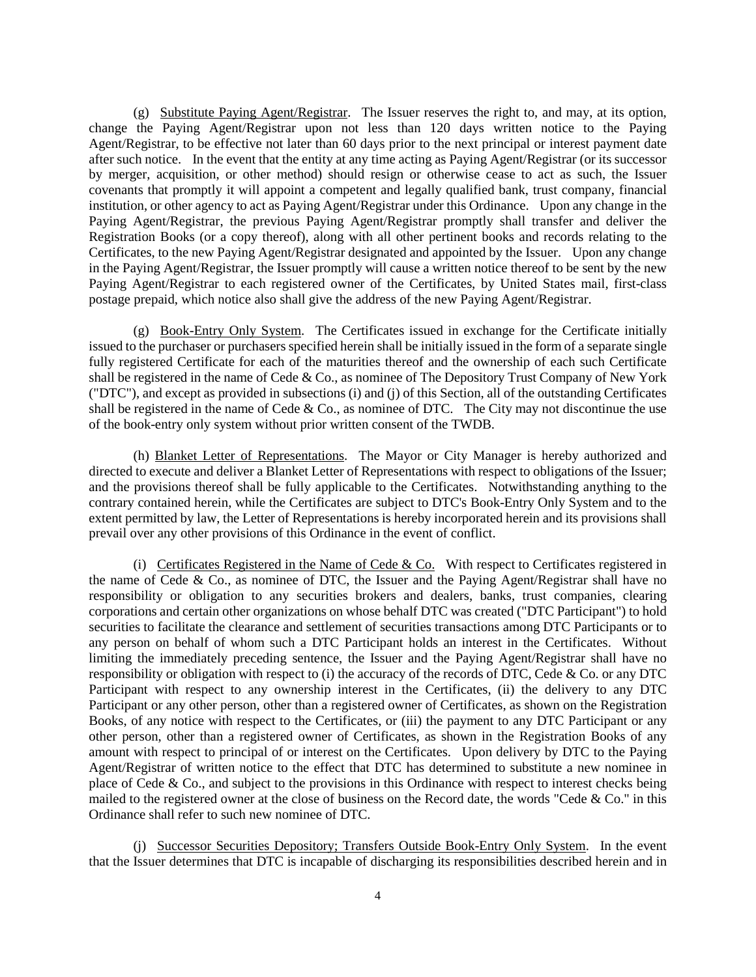(g) Substitute Paying Agent/Registrar. The Issuer reserves the right to, and may, at its option, change the Paying Agent/Registrar upon not less than 120 days written notice to the Paying Agent/Registrar, to be effective not later than 60 days prior to the next principal or interest payment date after such notice. In the event that the entity at any time acting as Paying Agent/Registrar (or its successor by merger, acquisition, or other method) should resign or otherwise cease to act as such, the Issuer covenants that promptly it will appoint a competent and legally qualified bank, trust company, financial institution, or other agency to act as Paying Agent/Registrar under this Ordinance. Upon any change in the Paying Agent/Registrar, the previous Paying Agent/Registrar promptly shall transfer and deliver the Registration Books (or a copy thereof), along with all other pertinent books and records relating to the Certificates, to the new Paying Agent/Registrar designated and appointed by the Issuer. Upon any change in the Paying Agent/Registrar, the Issuer promptly will cause a written notice thereof to be sent by the new Paying Agent/Registrar to each registered owner of the Certificates, by United States mail, first-class postage prepaid, which notice also shall give the address of the new Paying Agent/Registrar.

(g) Book-Entry Only System. The Certificates issued in exchange for the Certificate initially issued to the purchaser or purchasers specified herein shall be initially issued in the form of a separate single fully registered Certificate for each of the maturities thereof and the ownership of each such Certificate shall be registered in the name of Cede & Co., as nominee of The Depository Trust Company of New York ("DTC"), and except as provided in subsections (i) and (j) of this Section, all of the outstanding Certificates shall be registered in the name of Cede  $& Co.,$  as nominee of DTC. The City may not discontinue the use of the book-entry only system without prior written consent of the TWDB.

(h) Blanket Letter of Representations. The Mayor or City Manager is hereby authorized and directed to execute and deliver a Blanket Letter of Representations with respect to obligations of the Issuer; and the provisions thereof shall be fully applicable to the Certificates. Notwithstanding anything to the contrary contained herein, while the Certificates are subject to DTC's Book-Entry Only System and to the extent permitted by law, the Letter of Representations is hereby incorporated herein and its provisions shall prevail over any other provisions of this Ordinance in the event of conflict.

(i) Certificates Registered in the Name of Cede  $& Co.$  With respect to Certificates registered in the name of Cede & Co., as nominee of DTC, the Issuer and the Paying Agent/Registrar shall have no responsibility or obligation to any securities brokers and dealers, banks, trust companies, clearing corporations and certain other organizations on whose behalf DTC was created ("DTC Participant") to hold securities to facilitate the clearance and settlement of securities transactions among DTC Participants or to any person on behalf of whom such a DTC Participant holds an interest in the Certificates. Without limiting the immediately preceding sentence, the Issuer and the Paying Agent/Registrar shall have no responsibility or obligation with respect to (i) the accuracy of the records of DTC, Cede & Co. or any DTC Participant with respect to any ownership interest in the Certificates, (ii) the delivery to any DTC Participant or any other person, other than a registered owner of Certificates, as shown on the Registration Books, of any notice with respect to the Certificates, or (iii) the payment to any DTC Participant or any other person, other than a registered owner of Certificates, as shown in the Registration Books of any amount with respect to principal of or interest on the Certificates. Upon delivery by DTC to the Paying Agent/Registrar of written notice to the effect that DTC has determined to substitute a new nominee in place of Cede & Co., and subject to the provisions in this Ordinance with respect to interest checks being mailed to the registered owner at the close of business on the Record date, the words "Cede  $&$  Co." in this Ordinance shall refer to such new nominee of DTC.

(j) Successor Securities Depository; Transfers Outside Book-Entry Only System. In the event that the Issuer determines that DTC is incapable of discharging its responsibilities described herein and in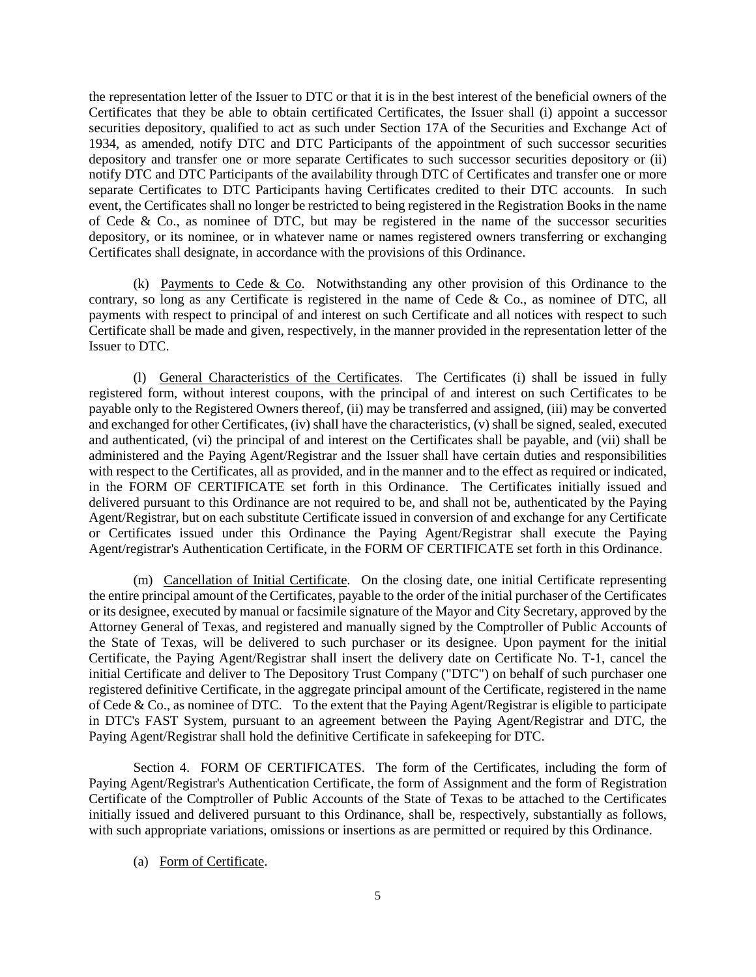the representation letter of the Issuer to DTC or that it is in the best interest of the beneficial owners of the Certificates that they be able to obtain certificated Certificates, the Issuer shall (i) appoint a successor securities depository, qualified to act as such under Section 17A of the Securities and Exchange Act of 1934, as amended, notify DTC and DTC Participants of the appointment of such successor securities depository and transfer one or more separate Certificates to such successor securities depository or (ii) notify DTC and DTC Participants of the availability through DTC of Certificates and transfer one or more separate Certificates to DTC Participants having Certificates credited to their DTC accounts. In such event, the Certificates shall no longer be restricted to being registered in the Registration Books in the name of Cede  $\&$  Co., as nominee of DTC, but may be registered in the name of the successor securities depository, or its nominee, or in whatever name or names registered owners transferring or exchanging Certificates shall designate, in accordance with the provisions of this Ordinance.

(k) Payments to Cede & Co. Notwithstanding any other provision of this Ordinance to the contrary, so long as any Certificate is registered in the name of Cede & Co., as nominee of DTC, all payments with respect to principal of and interest on such Certificate and all notices with respect to such Certificate shall be made and given, respectively, in the manner provided in the representation letter of the Issuer to DTC.

(l) General Characteristics of the Certificates. The Certificates (i) shall be issued in fully registered form, without interest coupons, with the principal of and interest on such Certificates to be payable only to the Registered Owners thereof, (ii) may be transferred and assigned, (iii) may be converted and exchanged for other Certificates, (iv) shall have the characteristics, (v) shall be signed, sealed, executed and authenticated, (vi) the principal of and interest on the Certificates shall be payable, and (vii) shall be administered and the Paying Agent/Registrar and the Issuer shall have certain duties and responsibilities with respect to the Certificates, all as provided, and in the manner and to the effect as required or indicated, in the FORM OF CERTIFICATE set forth in this Ordinance. The Certificates initially issued and delivered pursuant to this Ordinance are not required to be, and shall not be, authenticated by the Paying Agent/Registrar, but on each substitute Certificate issued in conversion of and exchange for any Certificate or Certificates issued under this Ordinance the Paying Agent/Registrar shall execute the Paying Agent/registrar's Authentication Certificate, in the FORM OF CERTIFICATE set forth in this Ordinance.

(m) Cancellation of Initial Certificate. On the closing date, one initial Certificate representing the entire principal amount of the Certificates, payable to the order of the initial purchaser of the Certificates or its designee, executed by manual or facsimile signature of the Mayor and City Secretary, approved by the Attorney General of Texas, and registered and manually signed by the Comptroller of Public Accounts of the State of Texas, will be delivered to such purchaser or its designee. Upon payment for the initial Certificate, the Paying Agent/Registrar shall insert the delivery date on Certificate No. T-1, cancel the initial Certificate and deliver to The Depository Trust Company ("DTC") on behalf of such purchaser one registered definitive Certificate, in the aggregate principal amount of the Certificate, registered in the name of Cede & Co., as nominee of DTC. To the extent that the Paying Agent/Registrar is eligible to participate in DTC's FAST System, pursuant to an agreement between the Paying Agent/Registrar and DTC, the Paying Agent/Registrar shall hold the definitive Certificate in safekeeping for DTC.

Section 4. FORM OF CERTIFICATES. The form of the Certificates, including the form of Paying Agent/Registrar's Authentication Certificate, the form of Assignment and the form of Registration Certificate of the Comptroller of Public Accounts of the State of Texas to be attached to the Certificates initially issued and delivered pursuant to this Ordinance, shall be, respectively, substantially as follows, with such appropriate variations, omissions or insertions as are permitted or required by this Ordinance.

### (a) Form of Certificate.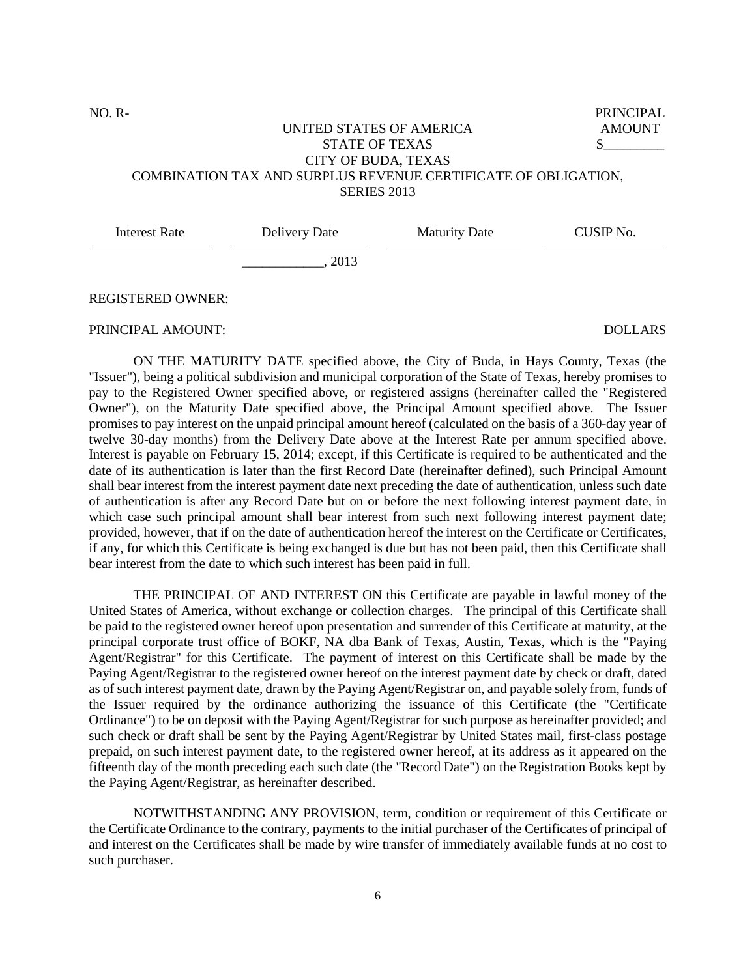NO. R-

PRINCIPAL AMOUNT  $\mathbb S$ 

# UNITED STATES OF AMERICA STATE OF TEXAS CITY OF BUDA, TEXAS COMBINATION TAX AND SURPLUS REVENUE CERTIFICATE OF OBLIGATION, **SERIES 2013**

| Delivery Date | <b>Maturity Date</b> | CUSIP No. |
|---------------|----------------------|-----------|
| 2013          |                      |           |
|               |                      |           |

# REGISTERED OWNER:

#### PRINCIPAL AMOUNT: DOLLARS

ON THE MATURITY DATE specified above, the City of Buda, in Hays County, Texas (the "Issuer"), being a political subdivision and municipal corporation of the State of Texas, hereby promises to pay to the Registered Owner specified above, or registered assigns (hereinafter called the "Registered Owner"), on the Maturity Date specified above, the Principal Amount specified above. The Issuer promises to pay interest on the unpaid principal amount hereof (calculated on the basis of a 360-day year of twelve 30-day months) from the Delivery Date above at the Interest Rate per annum specified above. Interest is payable on February 15, 2014; except, if this Certificate is required to be authenticated and the date of its authentication is later than the first Record Date (hereinafter defined), such Principal Amount shall bear interest from the interest payment date next preceding the date of authentication, unless such date of authentication is after any Record Date but on or before the next following interest payment date, in which case such principal amount shall bear interest from such next following interest payment date; provided, however, that if on the date of authentication hereof the interest on the Certificate or Certificates, if any, for which this Certificate is being exchanged is due but has not been paid, then this Certificate shall bear interest from the date to which such interest has been paid in full.

THE PRINCIPAL OF AND INTEREST ON this Certificate are payable in lawful money of the United States of America, without exchange or collection charges. The principal of this Certificate shall be paid to the registered owner hereof upon presentation and surrender of this Certificate at maturity, at the principal corporate trust office of BOKF, NA dba Bank of Texas, Austin, Texas, which is the "Paying Agent/Registrar" for this Certificate. The payment of interest on this Certificate shall be made by the Paying Agent/Registrar to the registered owner hereof on the interest payment date by check or draft, dated as of such interest payment date, drawn by the Paying Agent/Registrar on, and payable solely from, funds of the Issuer required by the ordinance authorizing the issuance of this Certificate (the "Certificate Ordinance") to be on deposit with the Paying Agent/Registrar for such purpose as hereinafter provided; and such check or draft shall be sent by the Paying Agent/Registrar by United States mail, first-class postage prepaid, on such interest payment date, to the registered owner hereof, at its address as it appeared on the fifteenth day of the month preceding each such date (the "Record Date") on the Registration Books kept by the Paying Agent/Registrar, as hereinafter described.

NOTWITHSTANDING ANY PROVISION, term, condition or requirement of this Certificate or the Certificate Ordinance to the contrary, payments to the initial purchaser of the Certificates of principal of and interest on the Certificates shall be made by wire transfer of immediately available funds at no cost to such purchaser.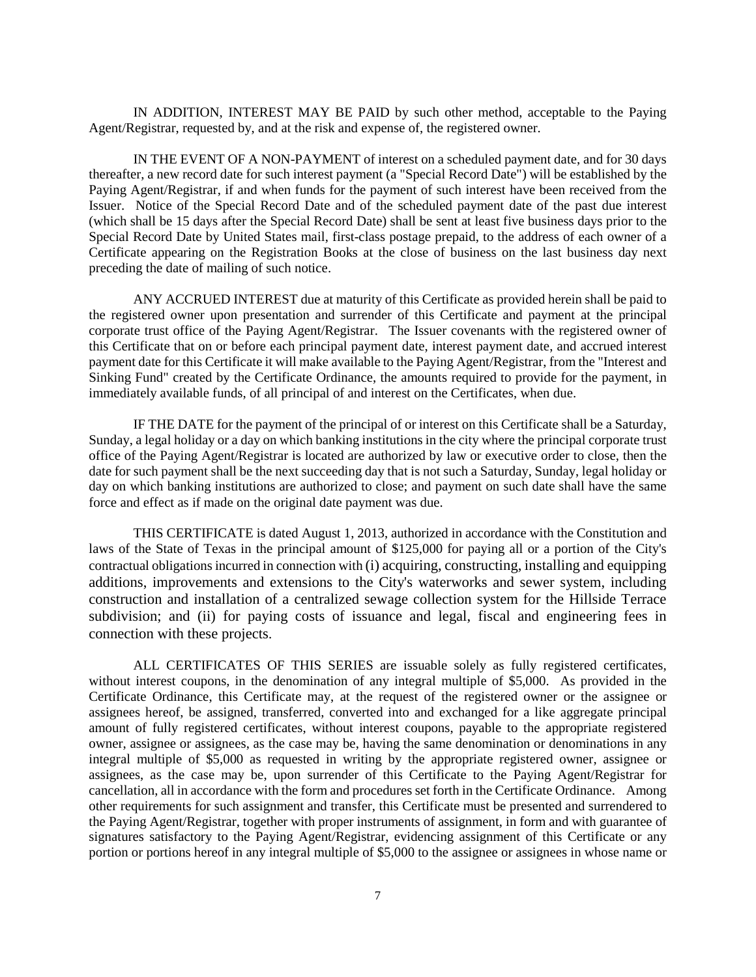IN ADDITION, INTEREST MAY BE PAID by such other method, acceptable to the Paying Agent/Registrar, requested by, and at the risk and expense of, the registered owner.

IN THE EVENT OF A NON-PAYMENT of interest on a scheduled payment date, and for 30 days thereafter, a new record date for such interest payment (a "Special Record Date") will be established by the Paying Agent/Registrar, if and when funds for the payment of such interest have been received from the Issuer. Notice of the Special Record Date and of the scheduled payment date of the past due interest (which shall be 15 days after the Special Record Date) shall be sent at least five business days prior to the Special Record Date by United States mail, first-class postage prepaid, to the address of each owner of a Certificate appearing on the Registration Books at the close of business on the last business day next preceding the date of mailing of such notice.

ANY ACCRUED INTEREST due at maturity of this Certificate as provided herein shall be paid to the registered owner upon presentation and surrender of this Certificate and payment at the principal corporate trust office of the Paying Agent/Registrar. The Issuer covenants with the registered owner of this Certificate that on or before each principal payment date, interest payment date, and accrued interest payment date for this Certificate it will make available to the Paying Agent/Registrar, from the "Interest and Sinking Fund" created by the Certificate Ordinance, the amounts required to provide for the payment, in immediately available funds, of all principal of and interest on the Certificates, when due.

IF THE DATE for the payment of the principal of or interest on this Certificate shall be a Saturday, Sunday, a legal holiday or a day on which banking institutions in the city where the principal corporate trust office of the Paying Agent/Registrar is located are authorized by law or executive order to close, then the date for such payment shall be the next succeeding day that is not such a Saturday, Sunday, legal holiday or day on which banking institutions are authorized to close; and payment on such date shall have the same force and effect as if made on the original date payment was due.

THIS CERTIFICATE is dated August 1, 2013, authorized in accordance with the Constitution and laws of the State of Texas in the principal amount of \$125,000 for paying all or a portion of the City's contractual obligations incurred in connection with (i) acquiring, constructing, installing and equipping additions, improvements and extensions to the City's waterworks and sewer system, including construction and installation of a centralized sewage collection system for the Hillside Terrace subdivision; and (ii) for paying costs of issuance and legal, fiscal and engineering fees in connection with these projects.

ALL CERTIFICATES OF THIS SERIES are issuable solely as fully registered certificates, without interest coupons, in the denomination of any integral multiple of \$5,000. As provided in the Certificate Ordinance, this Certificate may, at the request of the registered owner or the assignee or assignees hereof, be assigned, transferred, converted into and exchanged for a like aggregate principal amount of fully registered certificates, without interest coupons, payable to the appropriate registered owner, assignee or assignees, as the case may be, having the same denomination or denominations in any integral multiple of \$5,000 as requested in writing by the appropriate registered owner, assignee or assignees, as the case may be, upon surrender of this Certificate to the Paying Agent/Registrar for cancellation, all in accordance with the form and procedures set forth in the Certificate Ordinance. Among other requirements for such assignment and transfer, this Certificate must be presented and surrendered to the Paying Agent/Registrar, together with proper instruments of assignment, in form and with guarantee of signatures satisfactory to the Paying Agent/Registrar, evidencing assignment of this Certificate or any portion or portions hereof in any integral multiple of \$5,000 to the assignee or assignees in whose name or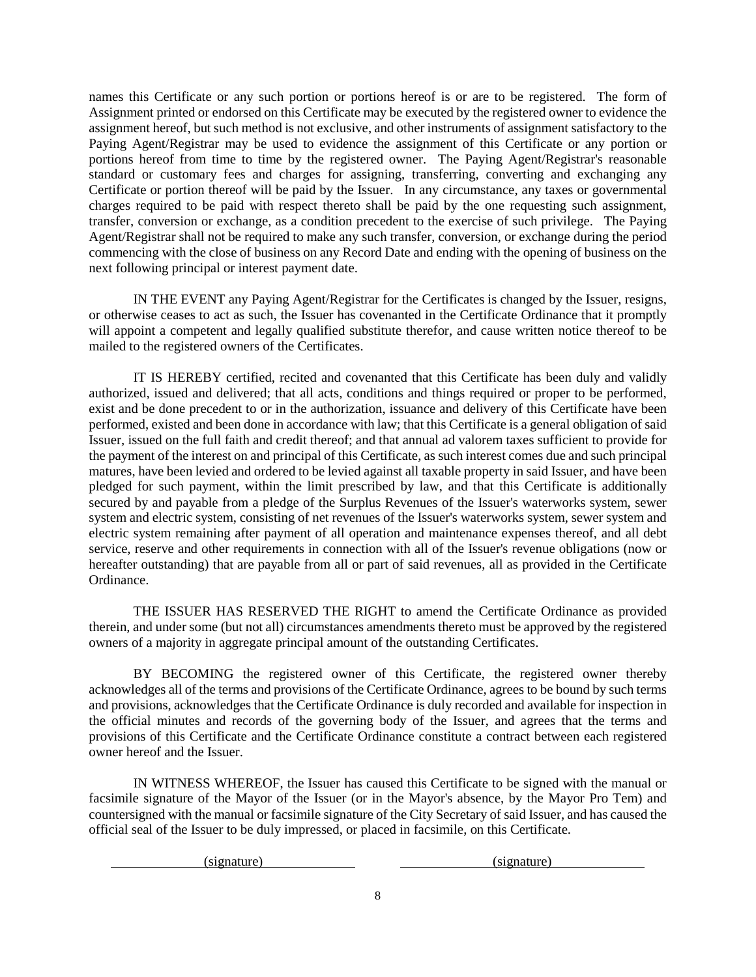names this Certificate or any such portion or portions hereof is or are to be registered. The form of Assignment printed or endorsed on this Certificate may be executed by the registered owner to evidence the assignment hereof, but such method is not exclusive, and other instruments of assignment satisfactory to the Paying Agent/Registrar may be used to evidence the assignment of this Certificate or any portion or portions hereof from time to time by the registered owner. The Paying Agent/Registrar's reasonable standard or customary fees and charges for assigning, transferring, converting and exchanging any Certificate or portion thereof will be paid by the Issuer. In any circumstance, any taxes or governmental charges required to be paid with respect thereto shall be paid by the one requesting such assignment, transfer, conversion or exchange, as a condition precedent to the exercise of such privilege. The Paying Agent/Registrar shall not be required to make any such transfer, conversion, or exchange during the period commencing with the close of business on any Record Date and ending with the opening of business on the next following principal or interest payment date.

IN THE EVENT any Paying Agent/Registrar for the Certificates is changed by the Issuer, resigns, or otherwise ceases to act as such, the Issuer has covenanted in the Certificate Ordinance that it promptly will appoint a competent and legally qualified substitute therefor, and cause written notice thereof to be mailed to the registered owners of the Certificates.

IT IS HEREBY certified, recited and covenanted that this Certificate has been duly and validly authorized, issued and delivered; that all acts, conditions and things required or proper to be performed, exist and be done precedent to or in the authorization, issuance and delivery of this Certificate have been performed, existed and been done in accordance with law; that this Certificate is a general obligation of said Issuer, issued on the full faith and credit thereof; and that annual ad valorem taxes sufficient to provide for the payment of the interest on and principal of this Certificate, as such interest comes due and such principal matures, have been levied and ordered to be levied against all taxable property in said Issuer, and have been pledged for such payment, within the limit prescribed by law, and that this Certificate is additionally secured by and payable from a pledge of the Surplus Revenues of the Issuer's waterworks system, sewer system and electric system, consisting of net revenues of the Issuer's waterworks system, sewer system and electric system remaining after payment of all operation and maintenance expenses thereof, and all debt service, reserve and other requirements in connection with all of the Issuer's revenue obligations (now or hereafter outstanding) that are payable from all or part of said revenues, all as provided in the Certificate Ordinance.

THE ISSUER HAS RESERVED THE RIGHT to amend the Certificate Ordinance as provided therein, and under some (but not all) circumstances amendments thereto must be approved by the registered owners of a majority in aggregate principal amount of the outstanding Certificates.

BY BECOMING the registered owner of this Certificate, the registered owner thereby acknowledges all of the terms and provisions of the Certificate Ordinance, agrees to be bound by such terms and provisions, acknowledges that the Certificate Ordinance is duly recorded and available for inspection in the official minutes and records of the governing body of the Issuer, and agrees that the terms and provisions of this Certificate and the Certificate Ordinance constitute a contract between each registered owner hereof and the Issuer.

IN WITNESS WHEREOF, the Issuer has caused this Certificate to be signed with the manual or facsimile signature of the Mayor of the Issuer (or in the Mayor's absence, by the Mayor Pro Tem) and countersigned with the manual or facsimile signature of the City Secretary of said Issuer, and has caused the official seal of the Issuer to be duly impressed, or placed in facsimile, on this Certificate.

(signature) (signature) (signature)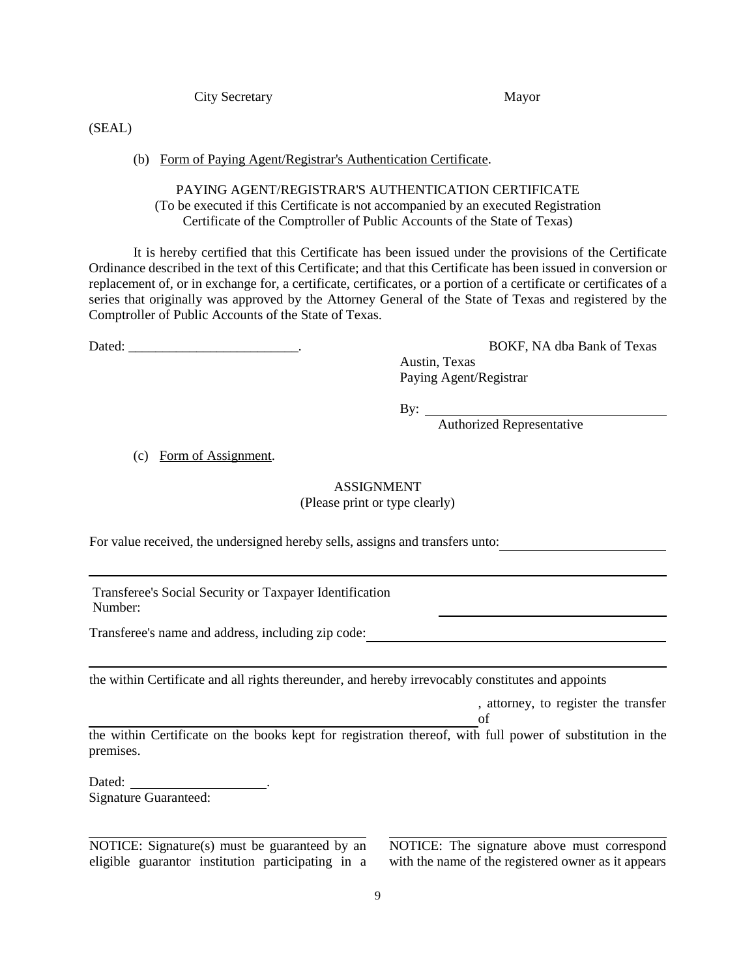City Secretary Mayor

#### (SEAL)

# (b) Form of Paying Agent/Registrar's Authentication Certificate.

# PAYING AGENT/REGISTRAR'S AUTHENTICATION CERTIFICATE (To be executed if this Certificate is not accompanied by an executed Registration Certificate of the Comptroller of Public Accounts of the State of Texas)

It is hereby certified that this Certificate has been issued under the provisions of the Certificate Ordinance described in the text of this Certificate; and that this Certificate has been issued in conversion or replacement of, or in exchange for, a certificate, certificates, or a portion of a certificate or certificates of a series that originally was approved by the Attorney General of the State of Texas and registered by the Comptroller of Public Accounts of the State of Texas.

Dated: BOKF, NA dba Bank of Texas Austin, Texas Paying Agent/Registrar

By:  $\overline{\phantom{0}}$ 

Authorized Representative

(c) Form of Assignment.

# ASSIGNMENT

(Please print or type clearly)

For value received, the undersigned hereby sells, assigns and transfers unto:

Transferee's Social Security or Taxpayer Identification Number:

Transferee's name and address, including zip code:

the within Certificate and all rights thereunder, and hereby irrevocably constitutes and appoints

, attorney, to register the transfer of

the within Certificate on the books kept for registration thereof, with full power of substitution in the premises.

Dated: \_\_ Signature Guaranteed:

NOTICE: Signature(s) must be guaranteed by an eligible guarantor institution participating in a NOTICE: The signature above must correspond with the name of the registered owner as it appears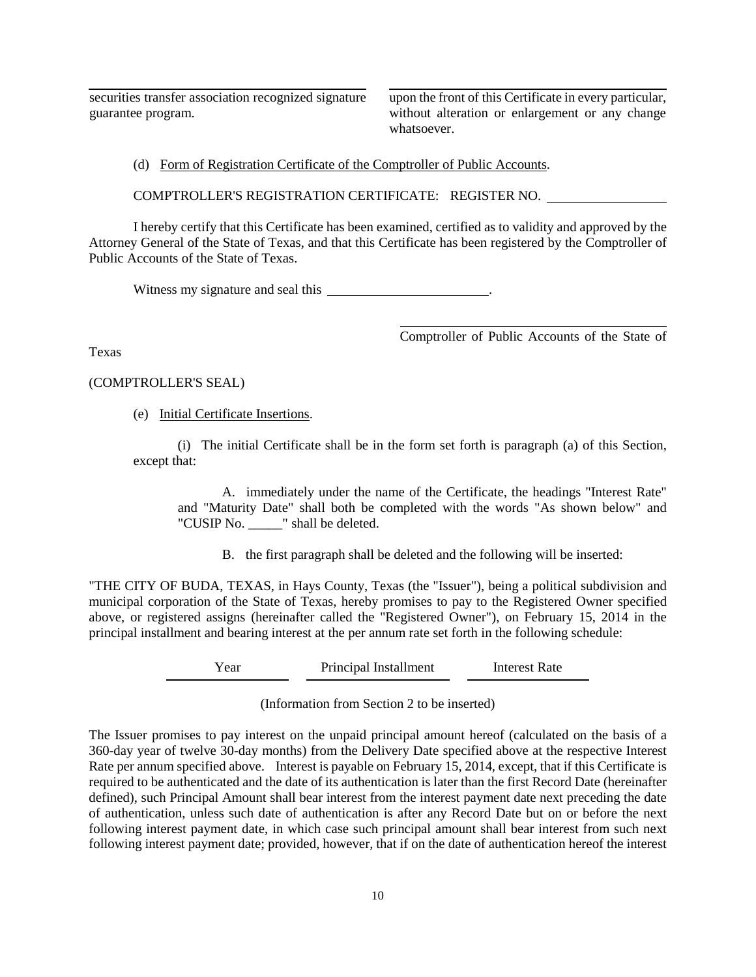securities transfer association recognized signature guarantee program.

upon the front of this Certificate in every particular, without alteration or enlargement or any change whatsoever.

(d) Form of Registration Certificate of the Comptroller of Public Accounts.

COMPTROLLER'S REGISTRATION CERTIFICATE: REGISTER NO.

I hereby certify that this Certificate has been examined, certified as to validity and approved by the Attorney General of the State of Texas, and that this Certificate has been registered by the Comptroller of Public Accounts of the State of Texas.

Witness my signature and seal this **with the seal of the seal of the seal of the seal of the seal of the seal of the seal of the seal of the seal of the seal of the seal of the seal of the seal of the seal of the seal of t** 

Comptroller of Public Accounts of the State of

Texas

#### (COMPTROLLER'S SEAL)

(e) Initial Certificate Insertions.

(i) The initial Certificate shall be in the form set forth is paragraph (a) of this Section, except that:

A. immediately under the name of the Certificate, the headings "Interest Rate" and "Maturity Date" shall both be completed with the words "As shown below" and "CUSIP No. \_\_\_\_\_" shall be deleted.

B. the first paragraph shall be deleted and the following will be inserted:

"THE CITY OF BUDA, TEXAS, in Hays County, Texas (the "Issuer"), being a political subdivision and municipal corporation of the State of Texas, hereby promises to pay to the Registered Owner specified above, or registered assigns (hereinafter called the "Registered Owner"), on February 15, 2014 in the principal installment and bearing interest at the per annum rate set forth in the following schedule:

Year Principal Installment Interest Rate

(Information from Section 2 to be inserted)

The Issuer promises to pay interest on the unpaid principal amount hereof (calculated on the basis of a 360-day year of twelve 30-day months) from the Delivery Date specified above at the respective Interest Rate per annum specified above. Interest is payable on February 15, 2014, except, that if this Certificate is required to be authenticated and the date of its authentication is later than the first Record Date (hereinafter defined), such Principal Amount shall bear interest from the interest payment date next preceding the date of authentication, unless such date of authentication is after any Record Date but on or before the next following interest payment date, in which case such principal amount shall bear interest from such next following interest payment date; provided, however, that if on the date of authentication hereof the interest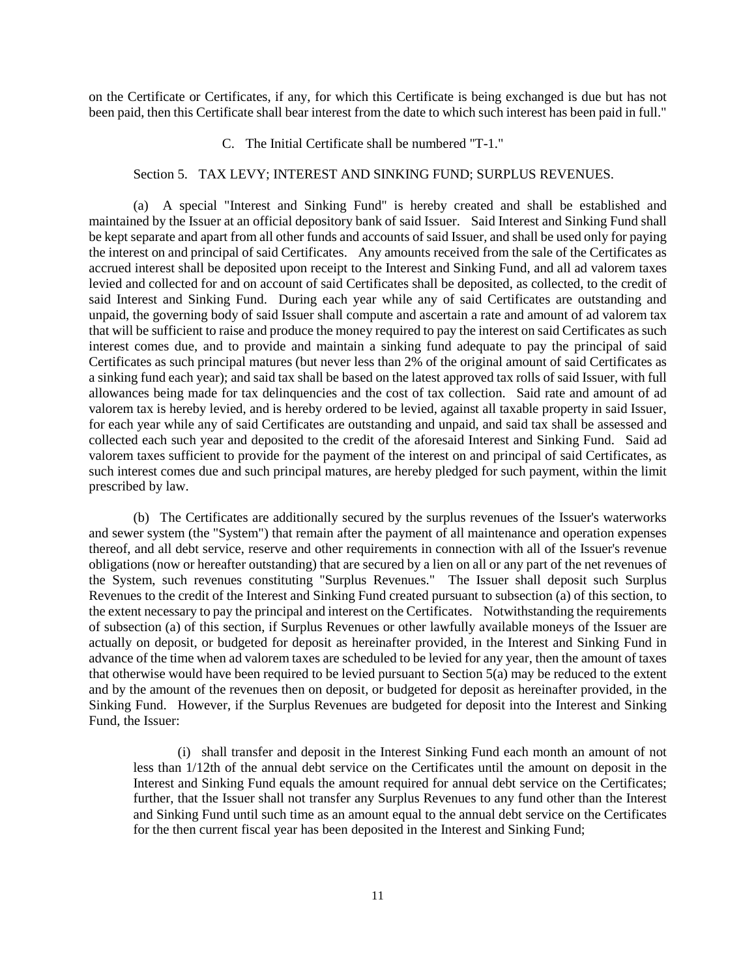on the Certificate or Certificates, if any, for which this Certificate is being exchanged is due but has not been paid, then this Certificate shall bear interest from the date to which such interest has been paid in full."

#### C. The Initial Certificate shall be numbered "T-1."

#### Section 5. TAX LEVY; INTEREST AND SINKING FUND; SURPLUS REVENUES.

(a) A special "Interest and Sinking Fund" is hereby created and shall be established and maintained by the Issuer at an official depository bank of said Issuer. Said Interest and Sinking Fund shall be kept separate and apart from all other funds and accounts of said Issuer, and shall be used only for paying the interest on and principal of said Certificates. Any amounts received from the sale of the Certificates as accrued interest shall be deposited upon receipt to the Interest and Sinking Fund, and all ad valorem taxes levied and collected for and on account of said Certificates shall be deposited, as collected, to the credit of said Interest and Sinking Fund. During each year while any of said Certificates are outstanding and unpaid, the governing body of said Issuer shall compute and ascertain a rate and amount of ad valorem tax that will be sufficient to raise and produce the money required to pay the interest on said Certificates as such interest comes due, and to provide and maintain a sinking fund adequate to pay the principal of said Certificates as such principal matures (but never less than 2% of the original amount of said Certificates as a sinking fund each year); and said tax shall be based on the latest approved tax rolls of said Issuer, with full allowances being made for tax delinquencies and the cost of tax collection. Said rate and amount of ad valorem tax is hereby levied, and is hereby ordered to be levied, against all taxable property in said Issuer, for each year while any of said Certificates are outstanding and unpaid, and said tax shall be assessed and collected each such year and deposited to the credit of the aforesaid Interest and Sinking Fund. Said ad valorem taxes sufficient to provide for the payment of the interest on and principal of said Certificates, as such interest comes due and such principal matures, are hereby pledged for such payment, within the limit prescribed by law.

(b) The Certificates are additionally secured by the surplus revenues of the Issuer's waterworks and sewer system (the "System") that remain after the payment of all maintenance and operation expenses thereof, and all debt service, reserve and other requirements in connection with all of the Issuer's revenue obligations (now or hereafter outstanding) that are secured by a lien on all or any part of the net revenues of the System, such revenues constituting "Surplus Revenues." The Issuer shall deposit such Surplus Revenues to the credit of the Interest and Sinking Fund created pursuant to subsection (a) of this section, to the extent necessary to pay the principal and interest on the Certificates. Notwithstanding the requirements of subsection (a) of this section, if Surplus Revenues or other lawfully available moneys of the Issuer are actually on deposit, or budgeted for deposit as hereinafter provided, in the Interest and Sinking Fund in advance of the time when ad valorem taxes are scheduled to be levied for any year, then the amount of taxes that otherwise would have been required to be levied pursuant to Section  $5(a)$  may be reduced to the extent and by the amount of the revenues then on deposit, or budgeted for deposit as hereinafter provided, in the Sinking Fund. However, if the Surplus Revenues are budgeted for deposit into the Interest and Sinking Fund, the Issuer:

(i) shall transfer and deposit in the Interest Sinking Fund each month an amount of not less than 1/12th of the annual debt service on the Certificates until the amount on deposit in the Interest and Sinking Fund equals the amount required for annual debt service on the Certificates; further, that the Issuer shall not transfer any Surplus Revenues to any fund other than the Interest and Sinking Fund until such time as an amount equal to the annual debt service on the Certificates for the then current fiscal year has been deposited in the Interest and Sinking Fund;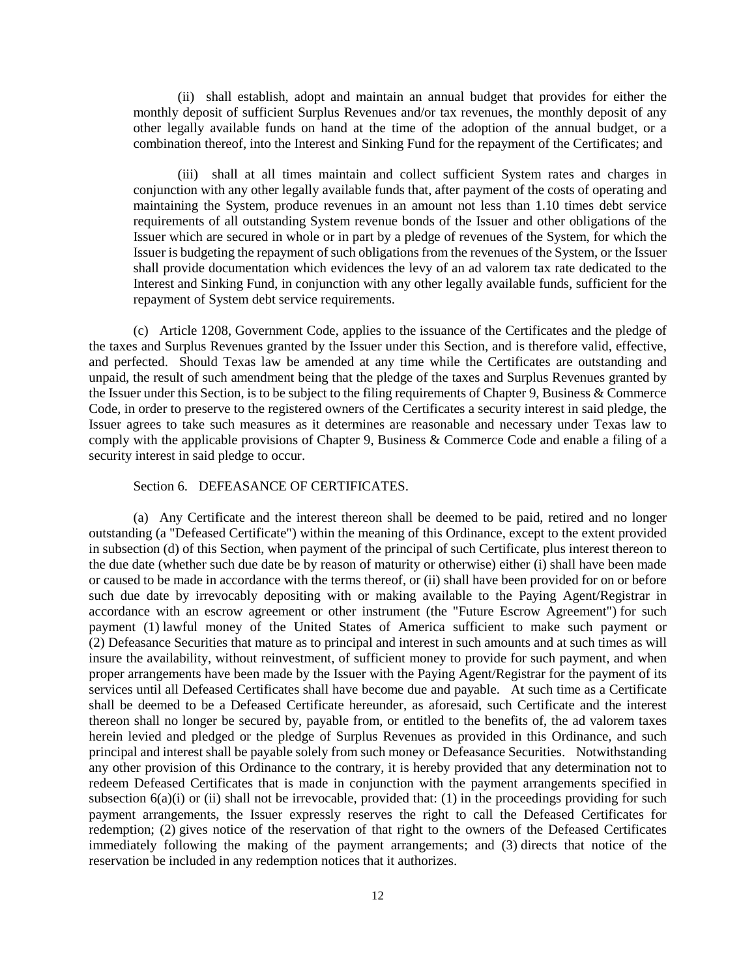(ii) shall establish, adopt and maintain an annual budget that provides for either the monthly deposit of sufficient Surplus Revenues and/or tax revenues, the monthly deposit of any other legally available funds on hand at the time of the adoption of the annual budget, or a combination thereof, into the Interest and Sinking Fund for the repayment of the Certificates; and

(iii) shall at all times maintain and collect sufficient System rates and charges in conjunction with any other legally available funds that, after payment of the costs of operating and maintaining the System, produce revenues in an amount not less than 1.10 times debt service requirements of all outstanding System revenue bonds of the Issuer and other obligations of the Issuer which are secured in whole or in part by a pledge of revenues of the System, for which the Issuer is budgeting the repayment of such obligations from the revenues of the System, or the Issuer shall provide documentation which evidences the levy of an ad valorem tax rate dedicated to the Interest and Sinking Fund, in conjunction with any other legally available funds, sufficient for the repayment of System debt service requirements.

(c) Article 1208, Government Code, applies to the issuance of the Certificates and the pledge of the taxes and Surplus Revenues granted by the Issuer under this Section, and is therefore valid, effective, and perfected. Should Texas law be amended at any time while the Certificates are outstanding and unpaid, the result of such amendment being that the pledge of the taxes and Surplus Revenues granted by the Issuer under this Section, is to be subject to the filing requirements of Chapter 9, Business & Commerce Code, in order to preserve to the registered owners of the Certificates a security interest in said pledge, the Issuer agrees to take such measures as it determines are reasonable and necessary under Texas law to comply with the applicable provisions of Chapter 9, Business & Commerce Code and enable a filing of a security interest in said pledge to occur.

#### Section 6. DEFEASANCE OF CERTIFICATES.

(a) Any Certificate and the interest thereon shall be deemed to be paid, retired and no longer outstanding (a "Defeased Certificate") within the meaning of this Ordinance, except to the extent provided in subsection (d) of this Section, when payment of the principal of such Certificate, plus interest thereon to the due date (whether such due date be by reason of maturity or otherwise) either (i) shall have been made or caused to be made in accordance with the terms thereof, or (ii) shall have been provided for on or before such due date by irrevocably depositing with or making available to the Paying Agent/Registrar in accordance with an escrow agreement or other instrument (the "Future Escrow Agreement") for such payment (1) lawful money of the United States of America sufficient to make such payment or (2) Defeasance Securities that mature as to principal and interest in such amounts and at such times as will insure the availability, without reinvestment, of sufficient money to provide for such payment, and when proper arrangements have been made by the Issuer with the Paying Agent/Registrar for the payment of its services until all Defeased Certificates shall have become due and payable. At such time as a Certificate shall be deemed to be a Defeased Certificate hereunder, as aforesaid, such Certificate and the interest thereon shall no longer be secured by, payable from, or entitled to the benefits of, the ad valorem taxes herein levied and pledged or the pledge of Surplus Revenues as provided in this Ordinance, and such principal and interest shall be payable solely from such money or Defeasance Securities. Notwithstanding any other provision of this Ordinance to the contrary, it is hereby provided that any determination not to redeem Defeased Certificates that is made in conjunction with the payment arrangements specified in subsection 6(a)(i) or (ii) shall not be irrevocable, provided that: (1) in the proceedings providing for such payment arrangements, the Issuer expressly reserves the right to call the Defeased Certificates for redemption; (2) gives notice of the reservation of that right to the owners of the Defeased Certificates immediately following the making of the payment arrangements; and (3) directs that notice of the reservation be included in any redemption notices that it authorizes.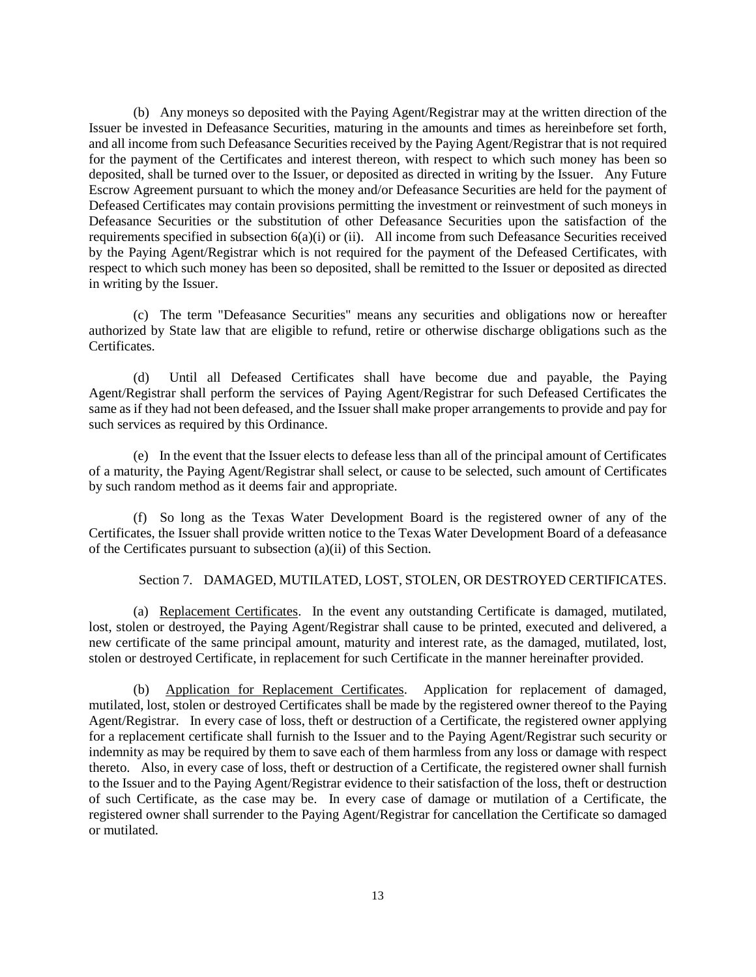(b) Any moneys so deposited with the Paying Agent/Registrar may at the written direction of the Issuer be invested in Defeasance Securities, maturing in the amounts and times as hereinbefore set forth, and all income from such Defeasance Securities received by the Paying Agent/Registrar that is not required for the payment of the Certificates and interest thereon, with respect to which such money has been so deposited, shall be turned over to the Issuer, or deposited as directed in writing by the Issuer. Any Future Escrow Agreement pursuant to which the money and/or Defeasance Securities are held for the payment of Defeased Certificates may contain provisions permitting the investment or reinvestment of such moneys in Defeasance Securities or the substitution of other Defeasance Securities upon the satisfaction of the requirements specified in subsection  $6(a)(i)$  or (ii). All income from such Defeasance Securities received by the Paying Agent/Registrar which is not required for the payment of the Defeased Certificates, with respect to which such money has been so deposited, shall be remitted to the Issuer or deposited as directed in writing by the Issuer.

(c) The term "Defeasance Securities" means any securities and obligations now or hereafter authorized by State law that are eligible to refund, retire or otherwise discharge obligations such as the Certificates.

(d) Until all Defeased Certificates shall have become due and payable, the Paying Agent/Registrar shall perform the services of Paying Agent/Registrar for such Defeased Certificates the same as if they had not been defeased, and the Issuer shall make proper arrangements to provide and pay for such services as required by this Ordinance.

(e) In the event that the Issuer elects to defease less than all of the principal amount of Certificates of a maturity, the Paying Agent/Registrar shall select, or cause to be selected, such amount of Certificates by such random method as it deems fair and appropriate.

(f) So long as the Texas Water Development Board is the registered owner of any of the Certificates, the Issuer shall provide written notice to the Texas Water Development Board of a defeasance of the Certificates pursuant to subsection (a)(ii) of this Section.

Section 7. DAMAGED, MUTILATED, LOST, STOLEN, OR DESTROYED CERTIFICATES.

(a) Replacement Certificates. In the event any outstanding Certificate is damaged, mutilated, lost, stolen or destroyed, the Paying Agent/Registrar shall cause to be printed, executed and delivered, a new certificate of the same principal amount, maturity and interest rate, as the damaged, mutilated, lost, stolen or destroyed Certificate, in replacement for such Certificate in the manner hereinafter provided.

(b) Application for Replacement Certificates. Application for replacement of damaged, mutilated, lost, stolen or destroyed Certificates shall be made by the registered owner thereof to the Paying Agent/Registrar. In every case of loss, theft or destruction of a Certificate, the registered owner applying for a replacement certificate shall furnish to the Issuer and to the Paying Agent/Registrar such security or indemnity as may be required by them to save each of them harmless from any loss or damage with respect thereto. Also, in every case of loss, theft or destruction of a Certificate, the registered owner shall furnish to the Issuer and to the Paying Agent/Registrar evidence to their satisfaction of the loss, theft or destruction of such Certificate, as the case may be. In every case of damage or mutilation of a Certificate, the registered owner shall surrender to the Paying Agent/Registrar for cancellation the Certificate so damaged or mutilated.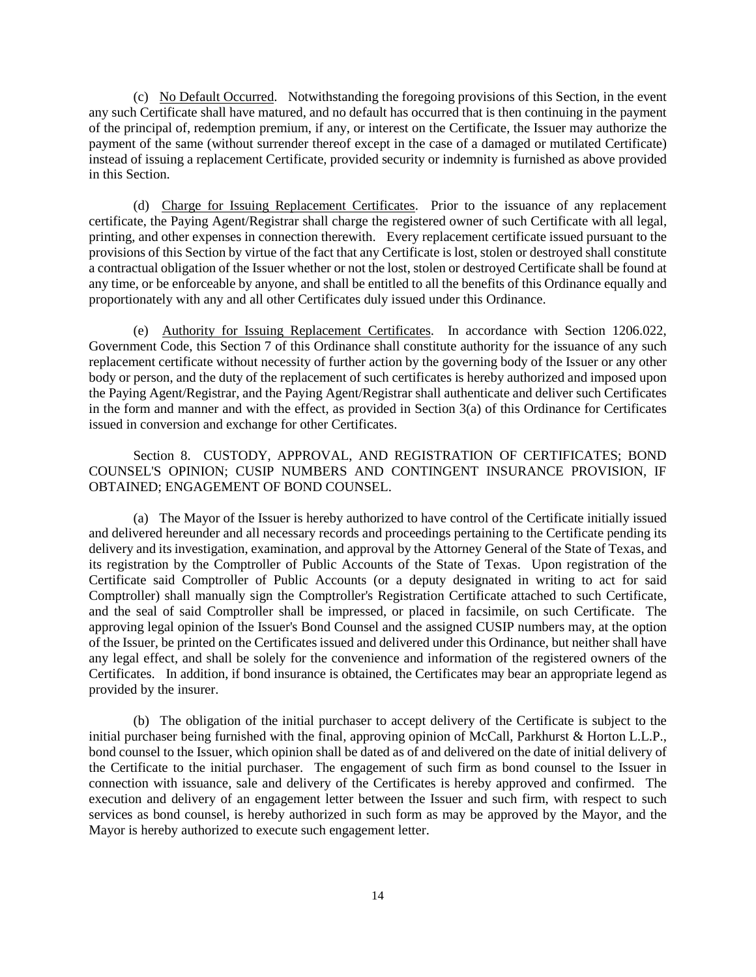(c) No Default Occurred. Notwithstanding the foregoing provisions of this Section, in the event any such Certificate shall have matured, and no default has occurred that is then continuing in the payment of the principal of, redemption premium, if any, or interest on the Certificate, the Issuer may authorize the payment of the same (without surrender thereof except in the case of a damaged or mutilated Certificate) instead of issuing a replacement Certificate, provided security or indemnity is furnished as above provided in this Section.

(d) Charge for Issuing Replacement Certificates. Prior to the issuance of any replacement certificate, the Paying Agent/Registrar shall charge the registered owner of such Certificate with all legal, printing, and other expenses in connection therewith. Every replacement certificate issued pursuant to the provisions of this Section by virtue of the fact that any Certificate is lost, stolen or destroyed shall constitute a contractual obligation of the Issuer whether or not the lost, stolen or destroyed Certificate shall be found at any time, or be enforceable by anyone, and shall be entitled to all the benefits of this Ordinance equally and proportionately with any and all other Certificates duly issued under this Ordinance.

(e) Authority for Issuing Replacement Certificates. In accordance with Section 1206.022, Government Code, this Section 7 of this Ordinance shall constitute authority for the issuance of any such replacement certificate without necessity of further action by the governing body of the Issuer or any other body or person, and the duty of the replacement of such certificates is hereby authorized and imposed upon the Paying Agent/Registrar, and the Paying Agent/Registrar shall authenticate and deliver such Certificates in the form and manner and with the effect, as provided in Section 3(a) of this Ordinance for Certificates issued in conversion and exchange for other Certificates.

Section 8. CUSTODY, APPROVAL, AND REGISTRATION OF CERTIFICATES; BOND COUNSEL'S OPINION; CUSIP NUMBERS AND CONTINGENT INSURANCE PROVISION, IF OBTAINED; ENGAGEMENT OF BOND COUNSEL.

(a) The Mayor of the Issuer is hereby authorized to have control of the Certificate initially issued and delivered hereunder and all necessary records and proceedings pertaining to the Certificate pending its delivery and its investigation, examination, and approval by the Attorney General of the State of Texas, and its registration by the Comptroller of Public Accounts of the State of Texas. Upon registration of the Certificate said Comptroller of Public Accounts (or a deputy designated in writing to act for said Comptroller) shall manually sign the Comptroller's Registration Certificate attached to such Certificate, and the seal of said Comptroller shall be impressed, or placed in facsimile, on such Certificate. The approving legal opinion of the Issuer's Bond Counsel and the assigned CUSIP numbers may, at the option of the Issuer, be printed on the Certificates issued and delivered under this Ordinance, but neither shall have any legal effect, and shall be solely for the convenience and information of the registered owners of the Certificates. In addition, if bond insurance is obtained, the Certificates may bear an appropriate legend as provided by the insurer.

(b) The obligation of the initial purchaser to accept delivery of the Certificate is subject to the initial purchaser being furnished with the final, approving opinion of McCall, Parkhurst & Horton L.L.P., bond counsel to the Issuer, which opinion shall be dated as of and delivered on the date of initial delivery of the Certificate to the initial purchaser. The engagement of such firm as bond counsel to the Issuer in connection with issuance, sale and delivery of the Certificates is hereby approved and confirmed. The execution and delivery of an engagement letter between the Issuer and such firm, with respect to such services as bond counsel, is hereby authorized in such form as may be approved by the Mayor, and the Mayor is hereby authorized to execute such engagement letter.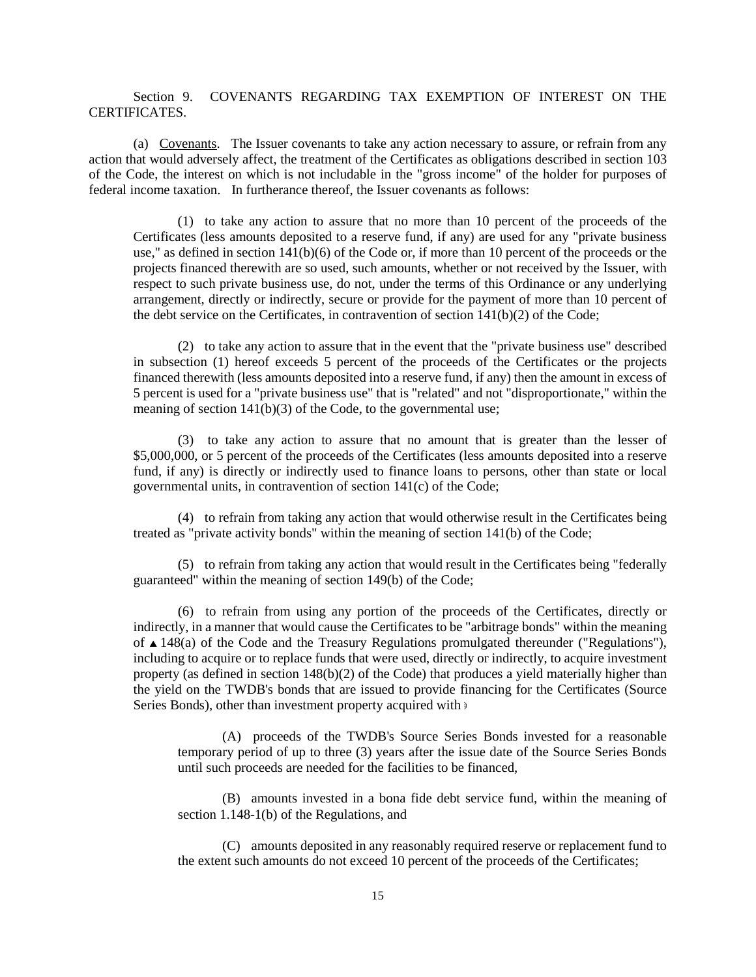Section 9. COVENANTS REGARDING TAX EXEMPTION OF INTEREST ON THE CERTIFICATES.

(a) Covenants. The Issuer covenants to take any action necessary to assure, or refrain from any action that would adversely affect, the treatment of the Certificates as obligations described in section 103 of the Code, the interest on which is not includable in the "gross income" of the holder for purposes of federal income taxation. In furtherance thereof, the Issuer covenants as follows:

(1) to take any action to assure that no more than 10 percent of the proceeds of the Certificates (less amounts deposited to a reserve fund, if any) are used for any "private business use," as defined in section 141(b)(6) of the Code or, if more than 10 percent of the proceeds or the projects financed therewith are so used, such amounts, whether or not received by the Issuer, with respect to such private business use, do not, under the terms of this Ordinance or any underlying arrangement, directly or indirectly, secure or provide for the payment of more than 10 percent of the debt service on the Certificates, in contravention of section  $141(b)(2)$  of the Code;

(2) to take any action to assure that in the event that the "private business use" described in subsection (1) hereof exceeds 5 percent of the proceeds of the Certificates or the projects financed therewith (less amounts deposited into a reserve fund, if any) then the amount in excess of 5 percent is used for a "private business use" that is "related" and not "disproportionate," within the meaning of section 141(b)(3) of the Code, to the governmental use;

(3) to take any action to assure that no amount that is greater than the lesser of \$5,000,000, or 5 percent of the proceeds of the Certificates (less amounts deposited into a reserve fund, if any) is directly or indirectly used to finance loans to persons, other than state or local governmental units, in contravention of section 141(c) of the Code;

(4) to refrain from taking any action that would otherwise result in the Certificates being treated as "private activity bonds" within the meaning of section 141(b) of the Code;

(5) to refrain from taking any action that would result in the Certificates being "federally guaranteed" within the meaning of section 149(b) of the Code;

(6) to refrain from using any portion of the proceeds of the Certificates, directly or indirectly, in a manner that would cause the Certificates to be "arbitrage bonds" within the meaning of  $\triangle$  148(a) of the Code and the Treasury Regulations promulgated thereunder ("Regulations"), including to acquire or to replace funds that were used, directly or indirectly, to acquire investment property (as defined in section 148(b)(2) of the Code) that produces a yield materially higher than the yield on the TWDB's bonds that are issued to provide financing for the Certificates (Source Series Bonds), other than investment property acquired with  $\theta$ 

(A) proceeds of the TWDB's Source Series Bonds invested for a reasonable temporary period of up to three (3) years after the issue date of the Source Series Bonds until such proceeds are needed for the facilities to be financed,

(B) amounts invested in a bona fide debt service fund, within the meaning of section 1.148-1(b) of the Regulations, and

(C) amounts deposited in any reasonably required reserve or replacement fund to the extent such amounts do not exceed 10 percent of the proceeds of the Certificates;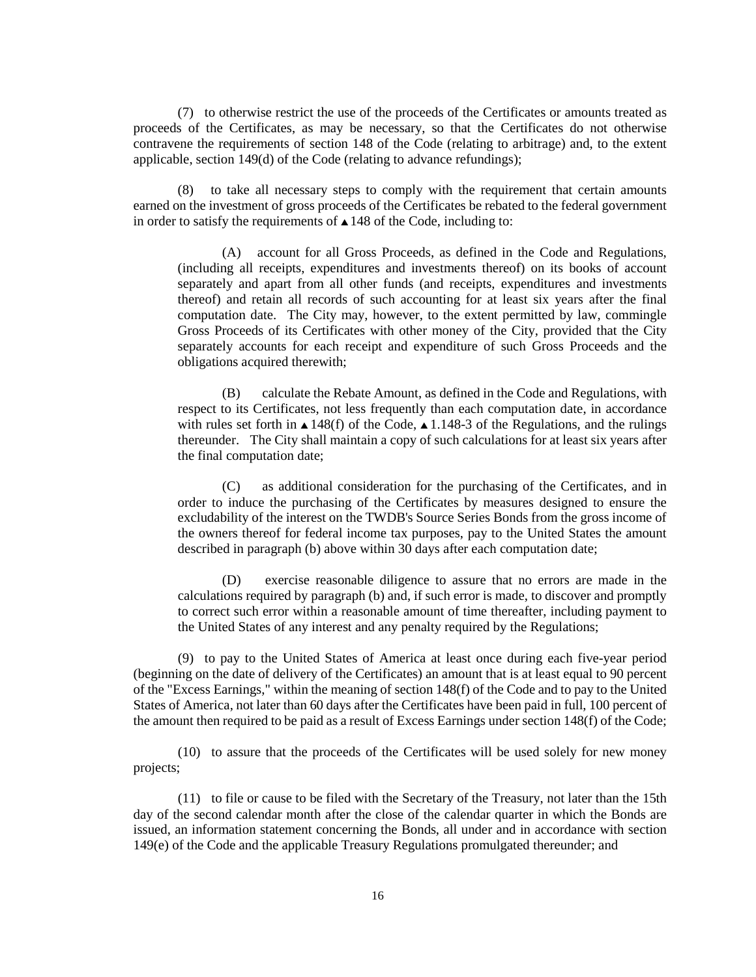(7) to otherwise restrict the use of the proceeds of the Certificates or amounts treated as proceeds of the Certificates, as may be necessary, so that the Certificates do not otherwise contravene the requirements of section 148 of the Code (relating to arbitrage) and, to the extent applicable, section 149(d) of the Code (relating to advance refundings);

(8) to take all necessary steps to comply with the requirement that certain amounts earned on the investment of gross proceeds of the Certificates be rebated to the federal government in order to satisfy the requirements of  $\triangle$  148 of the Code, including to:

(A) account for all Gross Proceeds, as defined in the Code and Regulations, (including all receipts, expenditures and investments thereof) on its books of account separately and apart from all other funds (and receipts, expenditures and investments thereof) and retain all records of such accounting for at least six years after the final computation date. The City may, however, to the extent permitted by law, commingle Gross Proceeds of its Certificates with other money of the City, provided that the City separately accounts for each receipt and expenditure of such Gross Proceeds and the obligations acquired therewith;

(B) calculate the Rebate Amount, as defined in the Code and Regulations, with respect to its Certificates, not less frequently than each computation date, in accordance with rules set forth in  $\triangle$  148(f) of the Code,  $\triangle$  1.148-3 of the Regulations, and the rulings thereunder. The City shall maintain a copy of such calculations for at least six years after the final computation date;

(C) as additional consideration for the purchasing of the Certificates, and in order to induce the purchasing of the Certificates by measures designed to ensure the excludability of the interest on the TWDB's Source Series Bonds from the gross income of the owners thereof for federal income tax purposes, pay to the United States the amount described in paragraph (b) above within 30 days after each computation date;

(D) exercise reasonable diligence to assure that no errors are made in the calculations required by paragraph (b) and, if such error is made, to discover and promptly to correct such error within a reasonable amount of time thereafter, including payment to the United States of any interest and any penalty required by the Regulations;

(9) to pay to the United States of America at least once during each five-year period (beginning on the date of delivery of the Certificates) an amount that is at least equal to 90 percent of the "Excess Earnings," within the meaning of section 148(f) of the Code and to pay to the United States of America, not later than 60 days after the Certificates have been paid in full, 100 percent of the amount then required to be paid as a result of Excess Earnings under section 148(f) of the Code;

(10) to assure that the proceeds of the Certificates will be used solely for new money projects;

(11) to file or cause to be filed with the Secretary of the Treasury, not later than the 15th day of the second calendar month after the close of the calendar quarter in which the Bonds are issued, an information statement concerning the Bonds, all under and in accordance with section 149(e) of the Code and the applicable Treasury Regulations promulgated thereunder; and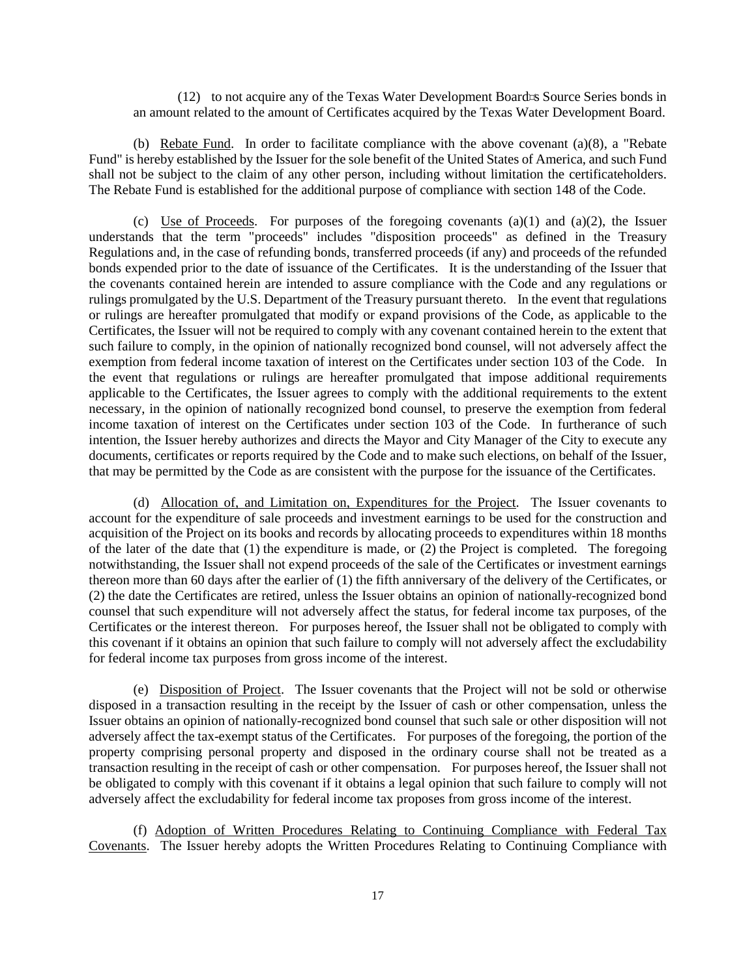(12) to not acquire any of the Texas Water Development Board=s Source Series bonds in an amount related to the amount of Certificates acquired by the Texas Water Development Board.

(b) Rebate Fund. In order to facilitate compliance with the above covenant  $(a)(8)$ , a "Rebate" Fund" is hereby established by the Issuer for the sole benefit of the United States of America, and such Fund shall not be subject to the claim of any other person, including without limitation the certificateholders. The Rebate Fund is established for the additional purpose of compliance with section 148 of the Code.

(c) Use of Proceeds. For purposes of the foregoing covenants  $(a)(1)$  and  $(a)(2)$ , the Issuer understands that the term "proceeds" includes "disposition proceeds" as defined in the Treasury Regulations and, in the case of refunding bonds, transferred proceeds (if any) and proceeds of the refunded bonds expended prior to the date of issuance of the Certificates. It is the understanding of the Issuer that the covenants contained herein are intended to assure compliance with the Code and any regulations or rulings promulgated by the U.S. Department of the Treasury pursuant thereto. In the event that regulations or rulings are hereafter promulgated that modify or expand provisions of the Code, as applicable to the Certificates, the Issuer will not be required to comply with any covenant contained herein to the extent that such failure to comply, in the opinion of nationally recognized bond counsel, will not adversely affect the exemption from federal income taxation of interest on the Certificates under section 103 of the Code. In the event that regulations or rulings are hereafter promulgated that impose additional requirements applicable to the Certificates, the Issuer agrees to comply with the additional requirements to the extent necessary, in the opinion of nationally recognized bond counsel, to preserve the exemption from federal income taxation of interest on the Certificates under section 103 of the Code. In furtherance of such intention, the Issuer hereby authorizes and directs the Mayor and City Manager of the City to execute any documents, certificates or reports required by the Code and to make such elections, on behalf of the Issuer, that may be permitted by the Code as are consistent with the purpose for the issuance of the Certificates.

(d) Allocation of, and Limitation on, Expenditures for the Project. The Issuer covenants to account for the expenditure of sale proceeds and investment earnings to be used for the construction and acquisition of the Project on its books and records by allocating proceeds to expenditures within 18 months of the later of the date that (1) the expenditure is made, or (2) the Project is completed. The foregoing notwithstanding, the Issuer shall not expend proceeds of the sale of the Certificates or investment earnings thereon more than 60 days after the earlier of (1) the fifth anniversary of the delivery of the Certificates, or (2) the date the Certificates are retired, unless the Issuer obtains an opinion of nationally-recognized bond counsel that such expenditure will not adversely affect the status, for federal income tax purposes, of the Certificates or the interest thereon. For purposes hereof, the Issuer shall not be obligated to comply with this covenant if it obtains an opinion that such failure to comply will not adversely affect the excludability for federal income tax purposes from gross income of the interest.

(e) Disposition of Project. The Issuer covenants that the Project will not be sold or otherwise disposed in a transaction resulting in the receipt by the Issuer of cash or other compensation, unless the Issuer obtains an opinion of nationally-recognized bond counsel that such sale or other disposition will not adversely affect the tax-exempt status of the Certificates. For purposes of the foregoing, the portion of the property comprising personal property and disposed in the ordinary course shall not be treated as a transaction resulting in the receipt of cash or other compensation. For purposes hereof, the Issuer shall not be obligated to comply with this covenant if it obtains a legal opinion that such failure to comply will not adversely affect the excludability for federal income tax proposes from gross income of the interest.

(f) Adoption of Written Procedures Relating to Continuing Compliance with Federal Tax Covenants. The Issuer hereby adopts the Written Procedures Relating to Continuing Compliance with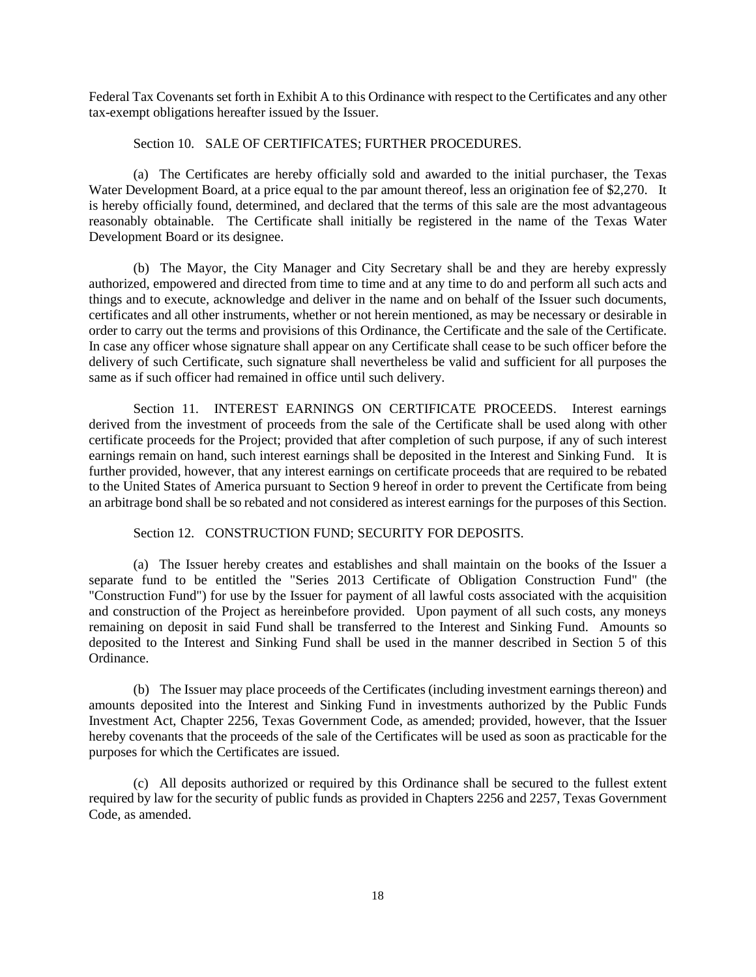Federal Tax Covenants set forth in Exhibit A to this Ordinance with respect to the Certificates and any other tax-exempt obligations hereafter issued by the Issuer.

#### Section 10. SALE OF CERTIFICATES; FURTHER PROCEDURES.

(a) The Certificates are hereby officially sold and awarded to the initial purchaser, the Texas Water Development Board, at a price equal to the par amount thereof, less an origination fee of \$2,270. It is hereby officially found, determined, and declared that the terms of this sale are the most advantageous reasonably obtainable. The Certificate shall initially be registered in the name of the Texas Water Development Board or its designee.

(b) The Mayor, the City Manager and City Secretary shall be and they are hereby expressly authorized, empowered and directed from time to time and at any time to do and perform all such acts and things and to execute, acknowledge and deliver in the name and on behalf of the Issuer such documents, certificates and all other instruments, whether or not herein mentioned, as may be necessary or desirable in order to carry out the terms and provisions of this Ordinance, the Certificate and the sale of the Certificate. In case any officer whose signature shall appear on any Certificate shall cease to be such officer before the delivery of such Certificate, such signature shall nevertheless be valid and sufficient for all purposes the same as if such officer had remained in office until such delivery.

Section 11. INTEREST EARNINGS ON CERTIFICATE PROCEEDS. Interest earnings derived from the investment of proceeds from the sale of the Certificate shall be used along with other certificate proceeds for the Project; provided that after completion of such purpose, if any of such interest earnings remain on hand, such interest earnings shall be deposited in the Interest and Sinking Fund. It is further provided, however, that any interest earnings on certificate proceeds that are required to be rebated to the United States of America pursuant to Section 9 hereof in order to prevent the Certificate from being an arbitrage bond shall be so rebated and not considered as interest earnings for the purposes of this Section.

Section 12. CONSTRUCTION FUND; SECURITY FOR DEPOSITS.

(a) The Issuer hereby creates and establishes and shall maintain on the books of the Issuer a separate fund to be entitled the "Series 2013 Certificate of Obligation Construction Fund" (the "Construction Fund") for use by the Issuer for payment of all lawful costs associated with the acquisition and construction of the Project as hereinbefore provided. Upon payment of all such costs, any moneys remaining on deposit in said Fund shall be transferred to the Interest and Sinking Fund. Amounts so deposited to the Interest and Sinking Fund shall be used in the manner described in Section 5 of this Ordinance.

(b) The Issuer may place proceeds of the Certificates (including investment earnings thereon) and amounts deposited into the Interest and Sinking Fund in investments authorized by the Public Funds Investment Act, Chapter 2256, Texas Government Code, as amended; provided, however, that the Issuer hereby covenants that the proceeds of the sale of the Certificates will be used as soon as practicable for the purposes for which the Certificates are issued.

(c) All deposits authorized or required by this Ordinance shall be secured to the fullest extent required by law for the security of public funds as provided in Chapters 2256 and 2257, Texas Government Code, as amended.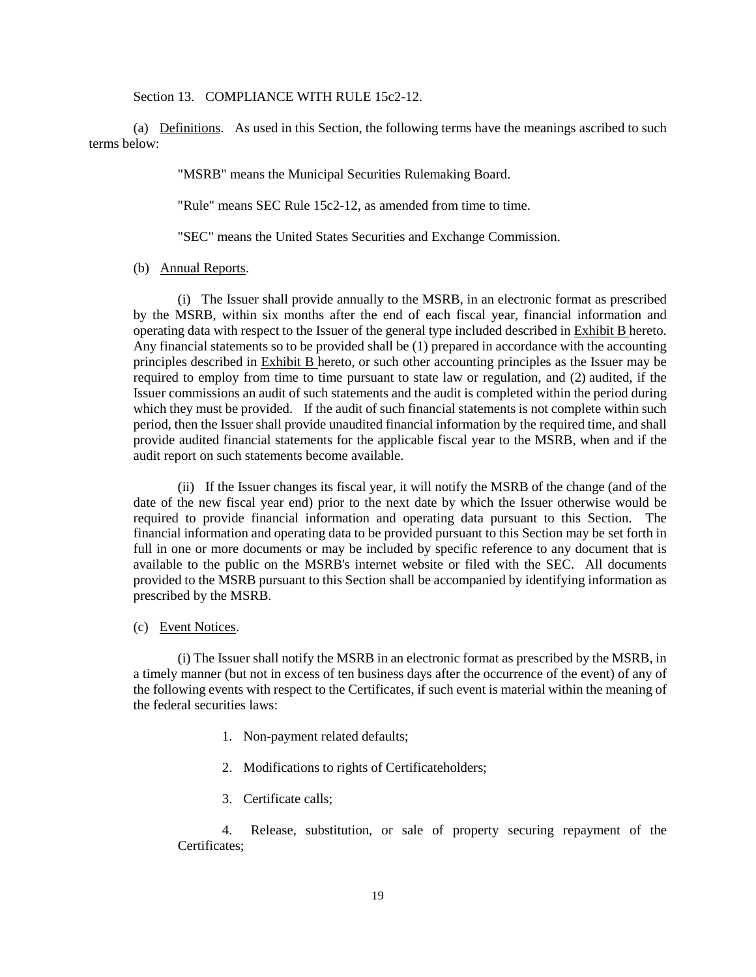Section 13. COMPLIANCE WITH RULE 15c2-12.

(a) Definitions. As used in this Section, the following terms have the meanings ascribed to such terms below:

"MSRB" means the Municipal Securities Rulemaking Board.

"Rule" means SEC Rule 15c2-12, as amended from time to time.

"SEC" means the United States Securities and Exchange Commission.

(b) Annual Reports.

(i) The Issuer shall provide annually to the MSRB, in an electronic format as prescribed by the MSRB, within six months after the end of each fiscal year, financial information and operating data with respect to the Issuer of the general type included described in Exhibit B hereto. Any financial statements so to be provided shall be (1) prepared in accordance with the accounting principles described in Exhibit B hereto, or such other accounting principles as the Issuer may be required to employ from time to time pursuant to state law or regulation, and (2) audited, if the Issuer commissions an audit of such statements and the audit is completed within the period during which they must be provided. If the audit of such financial statements is not complete within such period, then the Issuer shall provide unaudited financial information by the required time, and shall provide audited financial statements for the applicable fiscal year to the MSRB, when and if the audit report on such statements become available.

(ii) If the Issuer changes its fiscal year, it will notify the MSRB of the change (and of the date of the new fiscal year end) prior to the next date by which the Issuer otherwise would be required to provide financial information and operating data pursuant to this Section. The financial information and operating data to be provided pursuant to this Section may be set forth in full in one or more documents or may be included by specific reference to any document that is available to the public on the MSRB's internet website or filed with the SEC. All documents provided to the MSRB pursuant to this Section shall be accompanied by identifying information as prescribed by the MSRB.

(c) Event Notices.

(i) The Issuer shall notify the MSRB in an electronic format as prescribed by the MSRB, in a timely manner (but not in excess of ten business days after the occurrence of the event) of any of the following events with respect to the Certificates, if such event is material within the meaning of the federal securities laws:

- 1. Non-payment related defaults;
- 2. Modifications to rights of Certificateholders;
- 3. Certificate calls;

4. Release, substitution, or sale of property securing repayment of the Certificates;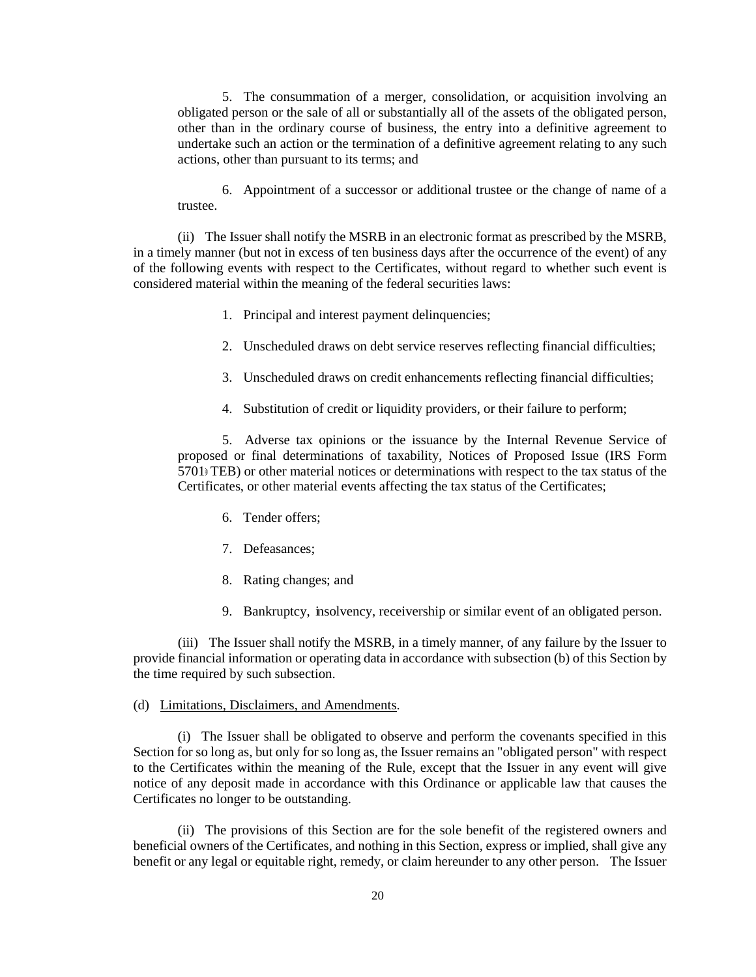5. The consummation of a merger, consolidation, or acquisition involving an obligated person or the sale of all or substantially all of the assets of the obligated person, other than in the ordinary course of business, the entry into a definitive agreement to undertake such an action or the termination of a definitive agreement relating to any such actions, other than pursuant to its terms; and

6. Appointment of a successor or additional trustee or the change of name of a trustee.

(ii) The Issuer shall notify the MSRB in an electronic format as prescribed by the MSRB, in a timely manner (but not in excess of ten business days after the occurrence of the event) of any of the following events with respect to the Certificates, without regard to whether such event is considered material within the meaning of the federal securities laws:

- 1. Principal and interest payment delinquencies;
- 2. Unscheduled draws on debt service reserves reflecting financial difficulties;
- 3. Unscheduled draws on credit enhancements reflecting financial difficulties;
- 4. Substitution of credit or liquidity providers, or their failure to perform;

5. Adverse tax opinions or the issuance by the Internal Revenue Service of proposed or final determinations of taxability, Notices of Proposed Issue (IRS Form  $5701$  TEB) or other material notices or determinations with respect to the tax status of the Certificates, or other material events affecting the tax status of the Certificates;

- 6. Tender offers;
- 7. Defeasances;
- 8. Rating changes; and
- 9. Bankruptcy, insolvency, receivership or similar event of an obligated person.

(iii) The Issuer shall notify the MSRB, in a timely manner, of any failure by the Issuer to provide financial information or operating data in accordance with subsection (b) of this Section by the time required by such subsection.

### (d) Limitations, Disclaimers, and Amendments.

(i) The Issuer shall be obligated to observe and perform the covenants specified in this Section for so long as, but only for so long as, the Issuer remains an "obligated person" with respect to the Certificates within the meaning of the Rule, except that the Issuer in any event will give notice of any deposit made in accordance with this Ordinance or applicable law that causes the Certificates no longer to be outstanding.

(ii) The provisions of this Section are for the sole benefit of the registered owners and beneficial owners of the Certificates, and nothing in this Section, express or implied, shall give any benefit or any legal or equitable right, remedy, or claim hereunder to any other person. The Issuer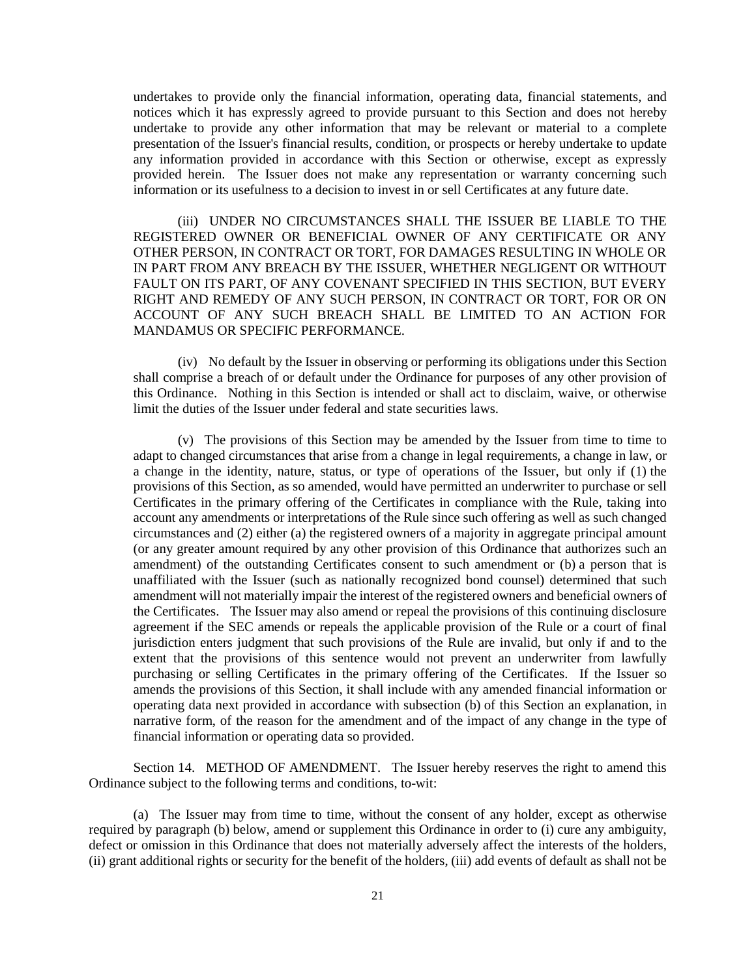undertakes to provide only the financial information, operating data, financial statements, and notices which it has expressly agreed to provide pursuant to this Section and does not hereby undertake to provide any other information that may be relevant or material to a complete presentation of the Issuer's financial results, condition, or prospects or hereby undertake to update any information provided in accordance with this Section or otherwise, except as expressly provided herein. The Issuer does not make any representation or warranty concerning such information or its usefulness to a decision to invest in or sell Certificates at any future date.

(iii) UNDER NO CIRCUMSTANCES SHALL THE ISSUER BE LIABLE TO THE REGISTERED OWNER OR BENEFICIAL OWNER OF ANY CERTIFICATE OR ANY OTHER PERSON, IN CONTRACT OR TORT, FOR DAMAGES RESULTING IN WHOLE OR IN PART FROM ANY BREACH BY THE ISSUER, WHETHER NEGLIGENT OR WITHOUT FAULT ON ITS PART, OF ANY COVENANT SPECIFIED IN THIS SECTION, BUT EVERY RIGHT AND REMEDY OF ANY SUCH PERSON, IN CONTRACT OR TORT, FOR OR ON ACCOUNT OF ANY SUCH BREACH SHALL BE LIMITED TO AN ACTION FOR MANDAMUS OR SPECIFIC PERFORMANCE.

(iv) No default by the Issuer in observing or performing its obligations under this Section shall comprise a breach of or default under the Ordinance for purposes of any other provision of this Ordinance. Nothing in this Section is intended or shall act to disclaim, waive, or otherwise limit the duties of the Issuer under federal and state securities laws.

(v) The provisions of this Section may be amended by the Issuer from time to time to adapt to changed circumstances that arise from a change in legal requirements, a change in law, or a change in the identity, nature, status, or type of operations of the Issuer, but only if (1) the provisions of this Section, as so amended, would have permitted an underwriter to purchase or sell Certificates in the primary offering of the Certificates in compliance with the Rule, taking into account any amendments or interpretations of the Rule since such offering as well as such changed circumstances and (2) either (a) the registered owners of a majority in aggregate principal amount (or any greater amount required by any other provision of this Ordinance that authorizes such an amendment) of the outstanding Certificates consent to such amendment or (b) a person that is unaffiliated with the Issuer (such as nationally recognized bond counsel) determined that such amendment will not materially impair the interest of the registered owners and beneficial owners of the Certificates. The Issuer may also amend or repeal the provisions of this continuing disclosure agreement if the SEC amends or repeals the applicable provision of the Rule or a court of final jurisdiction enters judgment that such provisions of the Rule are invalid, but only if and to the extent that the provisions of this sentence would not prevent an underwriter from lawfully purchasing or selling Certificates in the primary offering of the Certificates. If the Issuer so amends the provisions of this Section, it shall include with any amended financial information or operating data next provided in accordance with subsection (b) of this Section an explanation, in narrative form, of the reason for the amendment and of the impact of any change in the type of financial information or operating data so provided.

Section 14. METHOD OF AMENDMENT. The Issuer hereby reserves the right to amend this Ordinance subject to the following terms and conditions, to-wit:

(a) The Issuer may from time to time, without the consent of any holder, except as otherwise required by paragraph (b) below, amend or supplement this Ordinance in order to (i) cure any ambiguity, defect or omission in this Ordinance that does not materially adversely affect the interests of the holders, (ii) grant additional rights or security for the benefit of the holders, (iii) add events of default as shall not be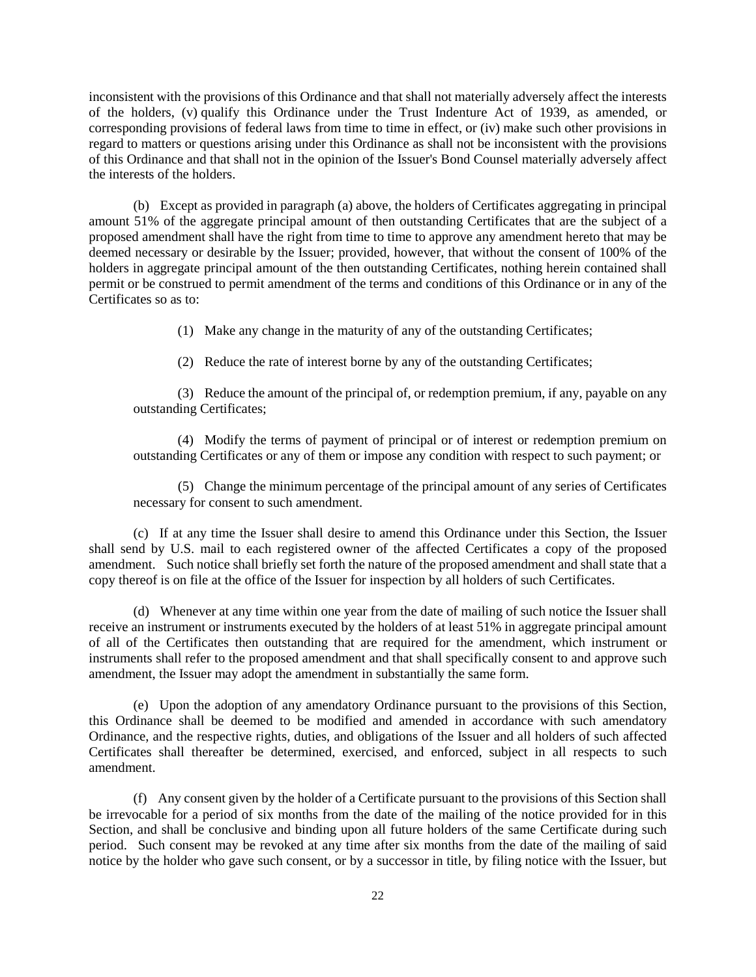inconsistent with the provisions of this Ordinance and that shall not materially adversely affect the interests of the holders, (v) qualify this Ordinance under the Trust Indenture Act of 1939, as amended, or corresponding provisions of federal laws from time to time in effect, or (iv) make such other provisions in regard to matters or questions arising under this Ordinance as shall not be inconsistent with the provisions of this Ordinance and that shall not in the opinion of the Issuer's Bond Counsel materially adversely affect the interests of the holders.

(b) Except as provided in paragraph (a) above, the holders of Certificates aggregating in principal amount 51% of the aggregate principal amount of then outstanding Certificates that are the subject of a proposed amendment shall have the right from time to time to approve any amendment hereto that may be deemed necessary or desirable by the Issuer; provided, however, that without the consent of 100% of the holders in aggregate principal amount of the then outstanding Certificates, nothing herein contained shall permit or be construed to permit amendment of the terms and conditions of this Ordinance or in any of the Certificates so as to:

(1) Make any change in the maturity of any of the outstanding Certificates;

(2) Reduce the rate of interest borne by any of the outstanding Certificates;

(3) Reduce the amount of the principal of, or redemption premium, if any, payable on any outstanding Certificates;

(4) Modify the terms of payment of principal or of interest or redemption premium on outstanding Certificates or any of them or impose any condition with respect to such payment; or

(5) Change the minimum percentage of the principal amount of any series of Certificates necessary for consent to such amendment.

(c) If at any time the Issuer shall desire to amend this Ordinance under this Section, the Issuer shall send by U.S. mail to each registered owner of the affected Certificates a copy of the proposed amendment. Such notice shall briefly set forth the nature of the proposed amendment and shall state that a copy thereof is on file at the office of the Issuer for inspection by all holders of such Certificates.

(d) Whenever at any time within one year from the date of mailing of such notice the Issuer shall receive an instrument or instruments executed by the holders of at least 51% in aggregate principal amount of all of the Certificates then outstanding that are required for the amendment, which instrument or instruments shall refer to the proposed amendment and that shall specifically consent to and approve such amendment, the Issuer may adopt the amendment in substantially the same form.

(e) Upon the adoption of any amendatory Ordinance pursuant to the provisions of this Section, this Ordinance shall be deemed to be modified and amended in accordance with such amendatory Ordinance, and the respective rights, duties, and obligations of the Issuer and all holders of such affected Certificates shall thereafter be determined, exercised, and enforced, subject in all respects to such amendment.

(f) Any consent given by the holder of a Certificate pursuant to the provisions of this Section shall be irrevocable for a period of six months from the date of the mailing of the notice provided for in this Section, and shall be conclusive and binding upon all future holders of the same Certificate during such period. Such consent may be revoked at any time after six months from the date of the mailing of said notice by the holder who gave such consent, or by a successor in title, by filing notice with the Issuer, but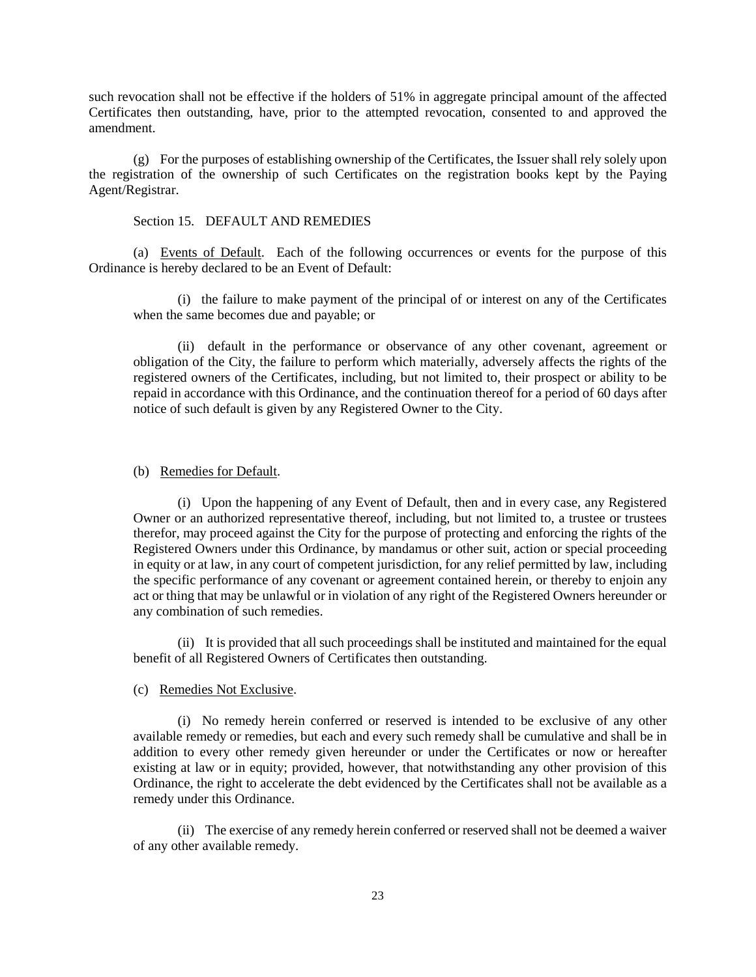such revocation shall not be effective if the holders of 51% in aggregate principal amount of the affected Certificates then outstanding, have, prior to the attempted revocation, consented to and approved the amendment.

(g) For the purposes of establishing ownership of the Certificates, the Issuer shall rely solely upon the registration of the ownership of such Certificates on the registration books kept by the Paying Agent/Registrar.

#### Section 15. DEFAULT AND REMEDIES

(a) Events of Default. Each of the following occurrences or events for the purpose of this Ordinance is hereby declared to be an Event of Default:

(i) the failure to make payment of the principal of or interest on any of the Certificates when the same becomes due and payable; or

(ii) default in the performance or observance of any other covenant, agreement or obligation of the City, the failure to perform which materially, adversely affects the rights of the registered owners of the Certificates, including, but not limited to, their prospect or ability to be repaid in accordance with this Ordinance, and the continuation thereof for a period of 60 days after notice of such default is given by any Registered Owner to the City.

#### (b) Remedies for Default.

(i) Upon the happening of any Event of Default, then and in every case, any Registered Owner or an authorized representative thereof, including, but not limited to, a trustee or trustees therefor, may proceed against the City for the purpose of protecting and enforcing the rights of the Registered Owners under this Ordinance, by mandamus or other suit, action or special proceeding in equity or at law, in any court of competent jurisdiction, for any relief permitted by law, including the specific performance of any covenant or agreement contained herein, or thereby to enjoin any act or thing that may be unlawful or in violation of any right of the Registered Owners hereunder or any combination of such remedies.

(ii) It is provided that all such proceedings shall be instituted and maintained for the equal benefit of all Registered Owners of Certificates then outstanding.

#### (c) Remedies Not Exclusive.

(i) No remedy herein conferred or reserved is intended to be exclusive of any other available remedy or remedies, but each and every such remedy shall be cumulative and shall be in addition to every other remedy given hereunder or under the Certificates or now or hereafter existing at law or in equity; provided, however, that notwithstanding any other provision of this Ordinance, the right to accelerate the debt evidenced by the Certificates shall not be available as a remedy under this Ordinance.

(ii) The exercise of any remedy herein conferred or reserved shall not be deemed a waiver of any other available remedy.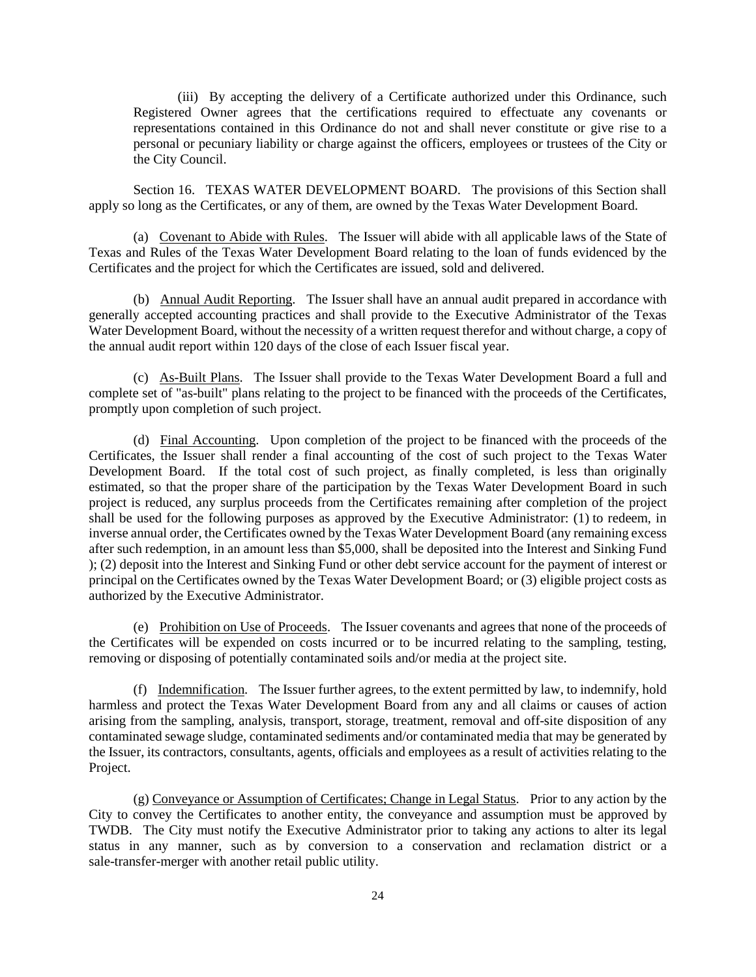(iii) By accepting the delivery of a Certificate authorized under this Ordinance, such Registered Owner agrees that the certifications required to effectuate any covenants or representations contained in this Ordinance do not and shall never constitute or give rise to a personal or pecuniary liability or charge against the officers, employees or trustees of the City or the City Council.

Section 16. TEXAS WATER DEVELOPMENT BOARD. The provisions of this Section shall apply so long as the Certificates, or any of them, are owned by the Texas Water Development Board.

(a) Covenant to Abide with Rules. The Issuer will abide with all applicable laws of the State of Texas and Rules of the Texas Water Development Board relating to the loan of funds evidenced by the Certificates and the project for which the Certificates are issued, sold and delivered.

(b) Annual Audit Reporting. The Issuer shall have an annual audit prepared in accordance with generally accepted accounting practices and shall provide to the Executive Administrator of the Texas Water Development Board, without the necessity of a written request therefor and without charge, a copy of the annual audit report within 120 days of the close of each Issuer fiscal year.

(c) As-Built Plans. The Issuer shall provide to the Texas Water Development Board a full and complete set of "as-built" plans relating to the project to be financed with the proceeds of the Certificates, promptly upon completion of such project.

(d) Final Accounting. Upon completion of the project to be financed with the proceeds of the Certificates, the Issuer shall render a final accounting of the cost of such project to the Texas Water Development Board. If the total cost of such project, as finally completed, is less than originally estimated, so that the proper share of the participation by the Texas Water Development Board in such project is reduced, any surplus proceeds from the Certificates remaining after completion of the project shall be used for the following purposes as approved by the Executive Administrator: (1) to redeem, in inverse annual order, the Certificates owned by the Texas Water Development Board (any remaining excess after such redemption, in an amount less than \$5,000, shall be deposited into the Interest and Sinking Fund ); (2) deposit into the Interest and Sinking Fund or other debt service account for the payment of interest or principal on the Certificates owned by the Texas Water Development Board; or (3) eligible project costs as authorized by the Executive Administrator.

(e) Prohibition on Use of Proceeds. The Issuer covenants and agrees that none of the proceeds of the Certificates will be expended on costs incurred or to be incurred relating to the sampling, testing, removing or disposing of potentially contaminated soils and/or media at the project site.

(f) Indemnification. The Issuer further agrees, to the extent permitted by law, to indemnify, hold harmless and protect the Texas Water Development Board from any and all claims or causes of action arising from the sampling, analysis, transport, storage, treatment, removal and off-site disposition of any contaminated sewage sludge, contaminated sediments and/or contaminated media that may be generated by the Issuer, its contractors, consultants, agents, officials and employees as a result of activities relating to the Project.

(g) Conveyance or Assumption of Certificates; Change in Legal Status. Prior to any action by the City to convey the Certificates to another entity, the conveyance and assumption must be approved by TWDB. The City must notify the Executive Administrator prior to taking any actions to alter its legal status in any manner, such as by conversion to a conservation and reclamation district or a sale-transfer-merger with another retail public utility.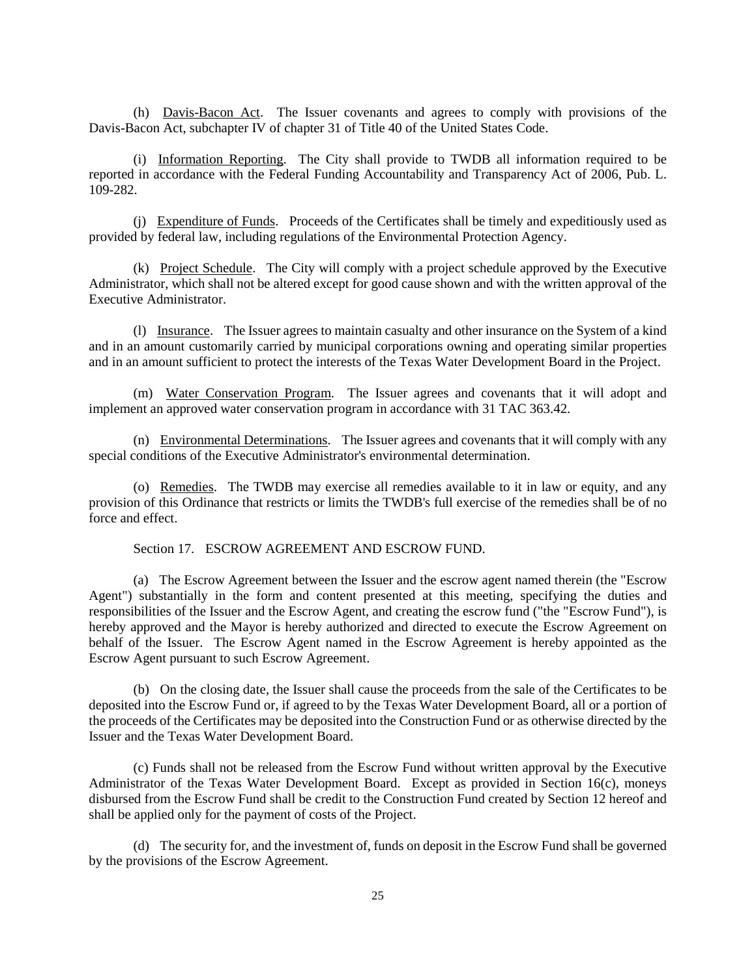(h) Davis-Bacon Act. The Issuer covenants and agrees to comply with provisions of the Davis-Bacon Act, subchapter IV of chapter 31 of Title 40 of the United States Code.

(i) Information Reporting. The City shall provide to TWDB all information required to be reported in accordance with the Federal Funding Accountability and Transparency Act of 2006, Pub. L. 109-282.

(j) Expenditure of Funds. Proceeds of the Certificates shall be timely and expeditiously used as provided by federal law, including regulations of the Environmental Protection Agency.

(k) Project Schedule. The City will comply with a project schedule approved by the Executive Administrator, which shall not be altered except for good cause shown and with the written approval of the Executive Administrator.

(l) Insurance. The Issuer agrees to maintain casualty and other insurance on the System of a kind and in an amount customarily carried by municipal corporations owning and operating similar properties and in an amount sufficient to protect the interests of the Texas Water Development Board in the Project.

(m) Water Conservation Program. The Issuer agrees and covenants that it will adopt and implement an approved water conservation program in accordance with 31 TAC 363.42.

(n) Environmental Determinations. The Issuer agrees and covenants that it will comply with any special conditions of the Executive Administrator's environmental determination.

(o) Remedies. The TWDB may exercise all remedies available to it in law or equity, and any provision of this Ordinance that restricts or limits the TWDB's full exercise of the remedies shall be of no force and effect.

Section 17. ESCROW AGREEMENT AND ESCROW FUND.

(a) The Escrow Agreement between the Issuer and the escrow agent named therein (the "Escrow Agent") substantially in the form and content presented at this meeting, specifying the duties and responsibilities of the Issuer and the Escrow Agent, and creating the escrow fund ("the "Escrow Fund"), is hereby approved and the Mayor is hereby authorized and directed to execute the Escrow Agreement on behalf of the Issuer. The Escrow Agent named in the Escrow Agreement is hereby appointed as the Escrow Agent pursuant to such Escrow Agreement.

(b) On the closing date, the Issuer shall cause the proceeds from the sale of the Certificates to be deposited into the Escrow Fund or, if agreed to by the Texas Water Development Board, all or a portion of the proceeds of the Certificates may be deposited into the Construction Fund or as otherwise directed by the Issuer and the Texas Water Development Board.

(c) Funds shall not be released from the Escrow Fund without written approval by the Executive Administrator of the Texas Water Development Board. Except as provided in Section 16(c), moneys disbursed from the Escrow Fund shall be credit to the Construction Fund created by Section 12 hereof and shall be applied only for the payment of costs of the Project.

(d) The security for, and the investment of, funds on deposit in the Escrow Fund shall be governed by the provisions of the Escrow Agreement.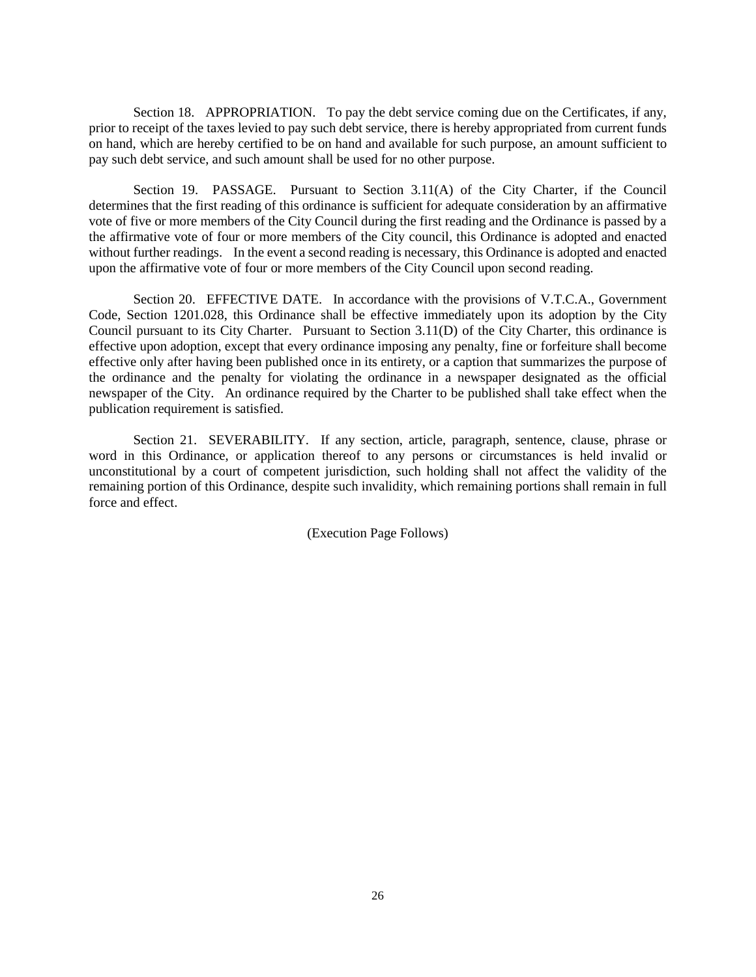Section 18. APPROPRIATION. To pay the debt service coming due on the Certificates, if any, prior to receipt of the taxes levied to pay such debt service, there is hereby appropriated from current funds on hand, which are hereby certified to be on hand and available for such purpose, an amount sufficient to pay such debt service, and such amount shall be used for no other purpose.

Section 19. PASSAGE. Pursuant to Section 3.11(A) of the City Charter, if the Council determines that the first reading of this ordinance is sufficient for adequate consideration by an affirmative vote of five or more members of the City Council during the first reading and the Ordinance is passed by a the affirmative vote of four or more members of the City council, this Ordinance is adopted and enacted without further readings. In the event a second reading is necessary, this Ordinance is adopted and enacted upon the affirmative vote of four or more members of the City Council upon second reading.

Section 20. EFFECTIVE DATE. In accordance with the provisions of V.T.C.A., Government Code, Section 1201.028, this Ordinance shall be effective immediately upon its adoption by the City Council pursuant to its City Charter. Pursuant to Section 3.11(D) of the City Charter, this ordinance is effective upon adoption, except that every ordinance imposing any penalty, fine or forfeiture shall become effective only after having been published once in its entirety, or a caption that summarizes the purpose of the ordinance and the penalty for violating the ordinance in a newspaper designated as the official newspaper of the City. An ordinance required by the Charter to be published shall take effect when the publication requirement is satisfied.

Section 21. SEVERABILITY. If any section, article, paragraph, sentence, clause, phrase or word in this Ordinance, or application thereof to any persons or circumstances is held invalid or unconstitutional by a court of competent jurisdiction, such holding shall not affect the validity of the remaining portion of this Ordinance, despite such invalidity, which remaining portions shall remain in full force and effect.

(Execution Page Follows)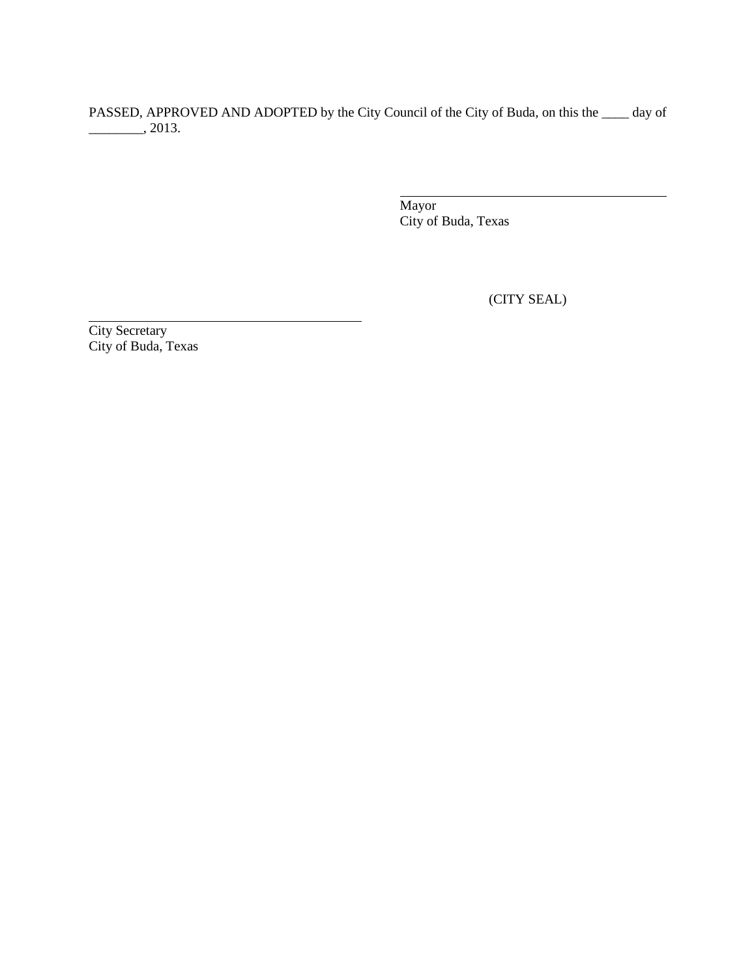PASSED, APPROVED AND ADOPTED by the City Council of the City of Buda, on this the \_\_\_\_ day of  $\frac{1}{2013}$ .

 $\overline{\phantom{0}}$ 

Mayor City of Buda, Texas

(CITY SEAL)

City Secretary City of Buda, Texas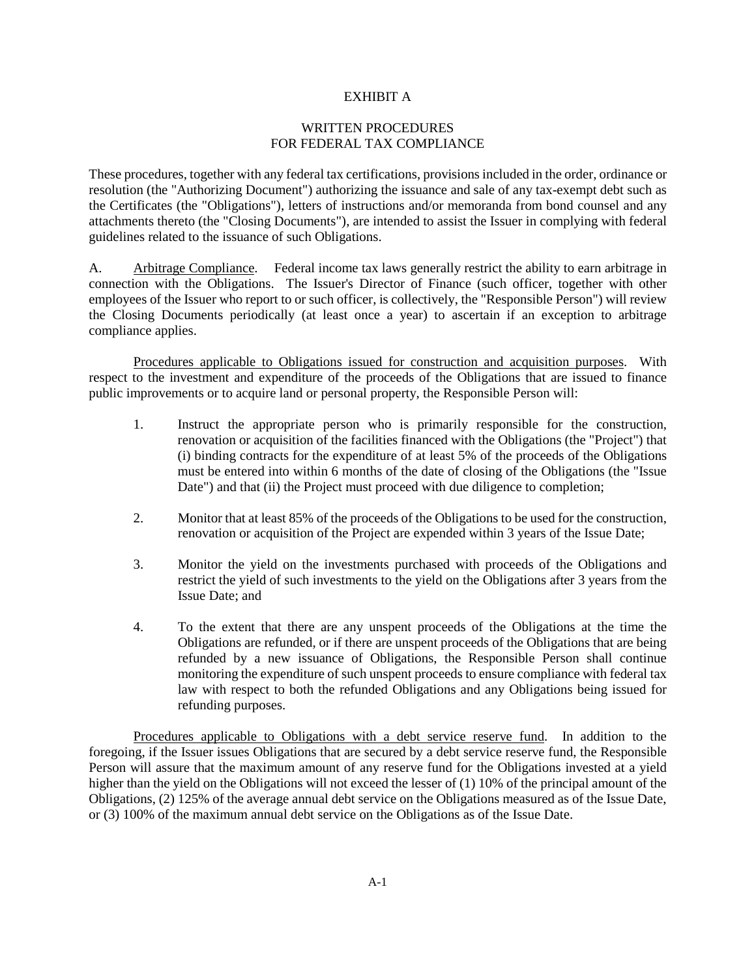### EXHIBIT A

# WRITTEN PROCEDURES FOR FEDERAL TAX COMPLIANCE

These procedures, together with any federal tax certifications, provisions included in the order, ordinance or resolution (the "Authorizing Document") authorizing the issuance and sale of any tax-exempt debt such as the Certificates (the "Obligations"), letters of instructions and/or memoranda from bond counsel and any attachments thereto (the "Closing Documents"), are intended to assist the Issuer in complying with federal guidelines related to the issuance of such Obligations.

A. Arbitrage Compliance. Federal income tax laws generally restrict the ability to earn arbitrage in connection with the Obligations. The Issuer's Director of Finance (such officer, together with other employees of the Issuer who report to or such officer, is collectively, the "Responsible Person") will review the Closing Documents periodically (at least once a year) to ascertain if an exception to arbitrage compliance applies.

Procedures applicable to Obligations issued for construction and acquisition purposes. With respect to the investment and expenditure of the proceeds of the Obligations that are issued to finance public improvements or to acquire land or personal property, the Responsible Person will:

- 1. Instruct the appropriate person who is primarily responsible for the construction, renovation or acquisition of the facilities financed with the Obligations (the "Project") that (i) binding contracts for the expenditure of at least 5% of the proceeds of the Obligations must be entered into within 6 months of the date of closing of the Obligations (the "Issue Date") and that (ii) the Project must proceed with due diligence to completion;
- 2. Monitor that at least 85% of the proceeds of the Obligations to be used for the construction, renovation or acquisition of the Project are expended within 3 years of the Issue Date;
- 3. Monitor the yield on the investments purchased with proceeds of the Obligations and restrict the yield of such investments to the yield on the Obligations after 3 years from the Issue Date; and
- 4. To the extent that there are any unspent proceeds of the Obligations at the time the Obligations are refunded, or if there are unspent proceeds of the Obligations that are being refunded by a new issuance of Obligations, the Responsible Person shall continue monitoring the expenditure of such unspent proceeds to ensure compliance with federal tax law with respect to both the refunded Obligations and any Obligations being issued for refunding purposes.

Procedures applicable to Obligations with a debt service reserve fund. In addition to the foregoing, if the Issuer issues Obligations that are secured by a debt service reserve fund, the Responsible Person will assure that the maximum amount of any reserve fund for the Obligations invested at a yield higher than the yield on the Obligations will not exceed the lesser of (1) 10% of the principal amount of the Obligations, (2) 125% of the average annual debt service on the Obligations measured as of the Issue Date, or (3) 100% of the maximum annual debt service on the Obligations as of the Issue Date.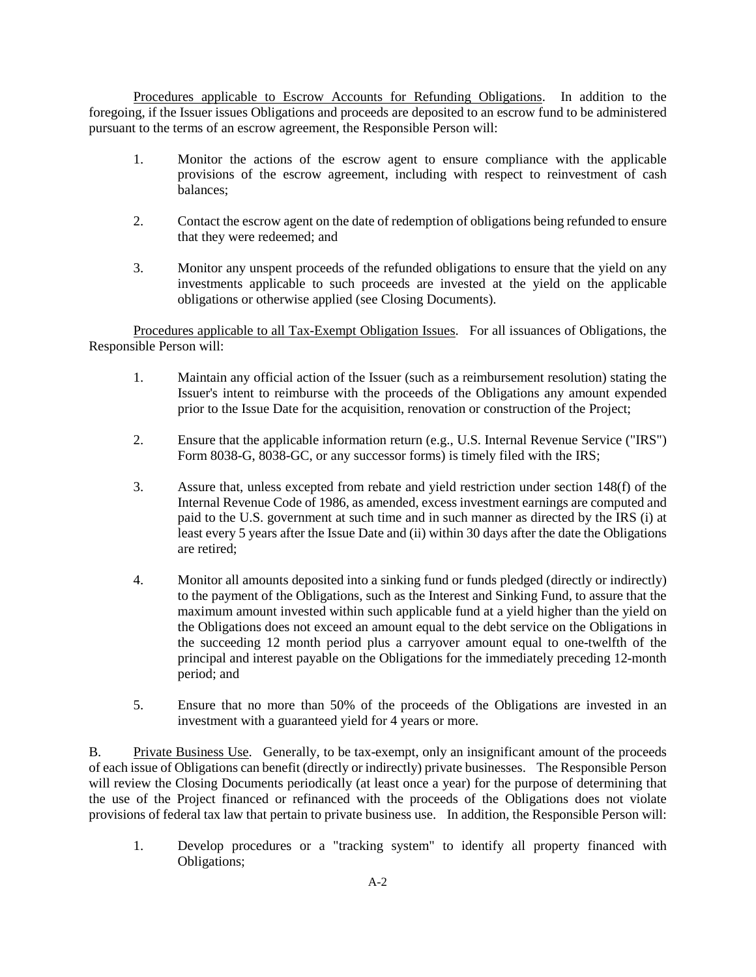Procedures applicable to Escrow Accounts for Refunding Obligations. In addition to the foregoing, if the Issuer issues Obligations and proceeds are deposited to an escrow fund to be administered pursuant to the terms of an escrow agreement, the Responsible Person will:

- 1. Monitor the actions of the escrow agent to ensure compliance with the applicable provisions of the escrow agreement, including with respect to reinvestment of cash balances;
- 2. Contact the escrow agent on the date of redemption of obligations being refunded to ensure that they were redeemed; and
- 3. Monitor any unspent proceeds of the refunded obligations to ensure that the yield on any investments applicable to such proceeds are invested at the yield on the applicable obligations or otherwise applied (see Closing Documents).

Procedures applicable to all Tax-Exempt Obligation Issues. For all issuances of Obligations, the Responsible Person will:

- 1. Maintain any official action of the Issuer (such as a reimbursement resolution) stating the Issuer's intent to reimburse with the proceeds of the Obligations any amount expended prior to the Issue Date for the acquisition, renovation or construction of the Project;
- 2. Ensure that the applicable information return (e.g., U.S. Internal Revenue Service ("IRS") Form 8038-G, 8038-GC, or any successor forms) is timely filed with the IRS;
- 3. Assure that, unless excepted from rebate and yield restriction under section 148(f) of the Internal Revenue Code of 1986, as amended, excess investment earnings are computed and paid to the U.S. government at such time and in such manner as directed by the IRS (i) at least every 5 years after the Issue Date and (ii) within 30 days after the date the Obligations are retired;
- 4. Monitor all amounts deposited into a sinking fund or funds pledged (directly or indirectly) to the payment of the Obligations, such as the Interest and Sinking Fund, to assure that the maximum amount invested within such applicable fund at a yield higher than the yield on the Obligations does not exceed an amount equal to the debt service on the Obligations in the succeeding 12 month period plus a carryover amount equal to one-twelfth of the principal and interest payable on the Obligations for the immediately preceding 12-month period; and
- 5. Ensure that no more than 50% of the proceeds of the Obligations are invested in an investment with a guaranteed yield for 4 years or more.

B. Private Business Use. Generally, to be tax-exempt, only an insignificant amount of the proceeds of each issue of Obligations can benefit (directly or indirectly) private businesses. The Responsible Person will review the Closing Documents periodically (at least once a year) for the purpose of determining that the use of the Project financed or refinanced with the proceeds of the Obligations does not violate provisions of federal tax law that pertain to private business use. In addition, the Responsible Person will:

1. Develop procedures or a "tracking system" to identify all property financed with Obligations;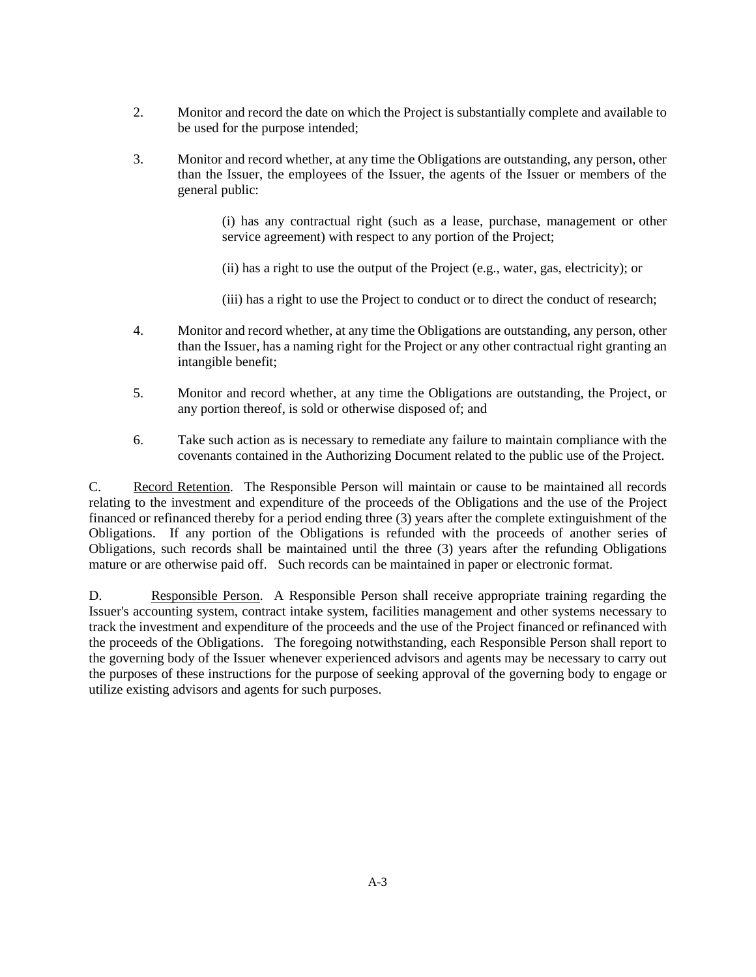- 2. Monitor and record the date on which the Project is substantially complete and available to be used for the purpose intended;
- 3. Monitor and record whether, at any time the Obligations are outstanding, any person, other than the Issuer, the employees of the Issuer, the agents of the Issuer or members of the general public:

(i) has any contractual right (such as a lease, purchase, management or other service agreement) with respect to any portion of the Project;

(ii) has a right to use the output of the Project (e.g., water, gas, electricity); or

(iii) has a right to use the Project to conduct or to direct the conduct of research;

- 4. Monitor and record whether, at any time the Obligations are outstanding, any person, other than the Issuer, has a naming right for the Project or any other contractual right granting an intangible benefit;
- 5. Monitor and record whether, at any time the Obligations are outstanding, the Project, or any portion thereof, is sold or otherwise disposed of; and
- 6. Take such action as is necessary to remediate any failure to maintain compliance with the covenants contained in the Authorizing Document related to the public use of the Project.

C. Record Retention. The Responsible Person will maintain or cause to be maintained all records relating to the investment and expenditure of the proceeds of the Obligations and the use of the Project financed or refinanced thereby for a period ending three (3) years after the complete extinguishment of the Obligations. If any portion of the Obligations is refunded with the proceeds of another series of Obligations, such records shall be maintained until the three (3) years after the refunding Obligations mature or are otherwise paid off. Such records can be maintained in paper or electronic format.

D. Responsible Person. A Responsible Person shall receive appropriate training regarding the Issuer's accounting system, contract intake system, facilities management and other systems necessary to track the investment and expenditure of the proceeds and the use of the Project financed or refinanced with the proceeds of the Obligations. The foregoing notwithstanding, each Responsible Person shall report to the governing body of the Issuer whenever experienced advisors and agents may be necessary to carry out the purposes of these instructions for the purpose of seeking approval of the governing body to engage or utilize existing advisors and agents for such purposes.